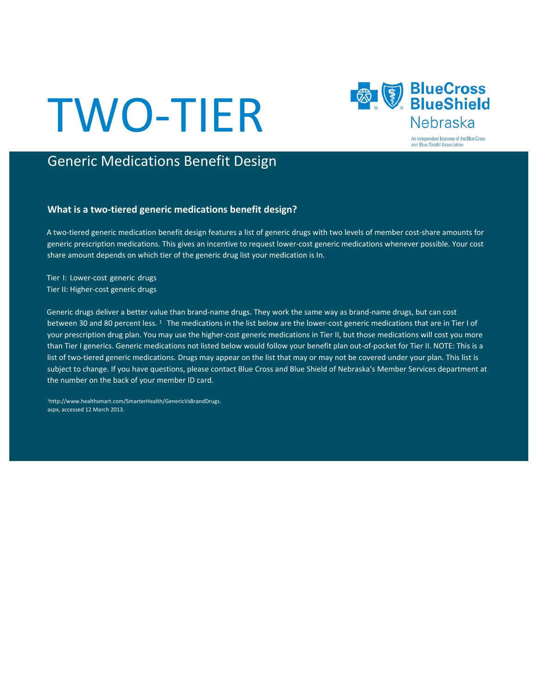# TWO-TIER



# Generic Medications Benefit Design

## **What is a two-tiered generic medications benefit design?**

A two-tiered generic medication benefit design features a list of generic drugs with two levels of member cost-share amounts for generic prescription medications. This gives an incentive to request lower-cost generic medications whenever possible. Your cost share amount depends on which tier of the generic drug list your medication is In.

Tier I: Lower-cost generic drugs Tier II: Higher-cost generic drugs

Generic drugs deliver a better value than brand-name drugs. They work the same way as brand-name drugs, but can cost between 30 and 80 percent less. <sup>1</sup> The medications in the list below are the lower-cost generic medications that are in Tier I of your prescription drug plan. You may use the higher-cost generic medications in Tier II, but those medications will cost you more than Tier I generics. Generic medications not listed below would follow your benefit plan out-of-pocket for Tier II. NOTE: This is a list of two-tiered generic medications. Drugs may appear on the list that may or may not be covered under your plan. This list is subject to change. If you have questions, please contact Blue Cross and Blue Shield of Nebraska's Member Services department at the number on the back of your member ID card.

1http://www.healthsmart.com/SmarterHealth/GenericVsBrandDrugs. aspx, accessed 12 March 2013.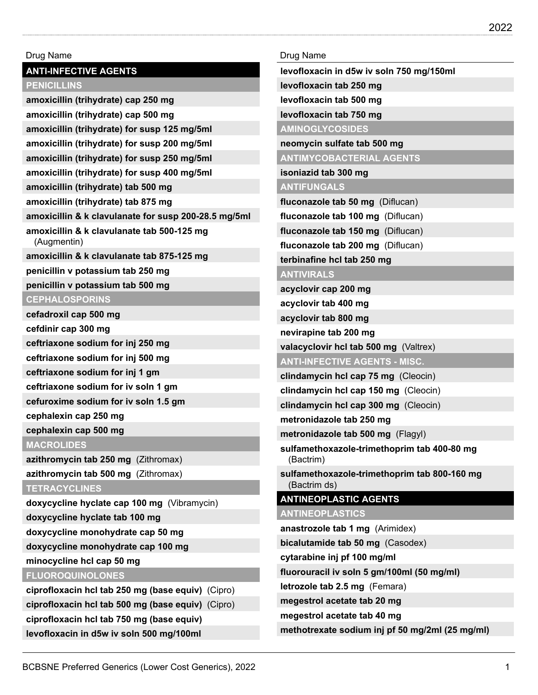# **PENICILLINS amoxicillin (trihydrate) cap 250 mg amoxicillin (trihydrate) cap 500 mg amoxicillin (trihydrate) for susp 125 mg/5ml amoxicillin (trihydrate) for susp 200 mg/5ml amoxicillin (trihydrate) for susp 250 mg/5ml amoxicillin (trihydrate) for susp 400 mg/5ml amoxicillin (trihydrate) tab 500 mg amoxicillin (trihydrate) tab 875 mg amoxicillin & k clavulanate for susp 200-28.5 mg/5ml amoxicillin & k clavulanate tab 500-125 mg** (Augmentin) **amoxicillin & k clavulanate tab 875-125 mg penicillin v potassium tab 250 mg penicillin v potassium tab 500 mg CEPHALOSPORINS cefadroxil cap 500 mg cefdinir cap 300 mg ceftriaxone sodium for inj 250 mg ceftriaxone sodium for inj 500 mg ceftriaxone sodium for inj 1 gm ceftriaxone sodium for iv soln 1 gm cefuroxime sodium for iv soln 1.5 gm cephalexin cap 250 mg cephalexin cap 500 mg MACROLIDES azithromycin tab 250 mg** (Zithromax) **azithromycin tab 500 mg** (Zithromax) **TETRACYCLINES doxycycline hyclate cap 100 mg** (Vibramycin) **doxycycline hyclate tab 100 mg doxycycline monohydrate cap 50 mg doxycycline monohydrate cap 100 mg minocycline hcl cap 50 mg FLUOROQUINOLONES ciprofloxacin hcl tab 250 mg (base equiv)** (Cipro) **ciprofloxacin hcl tab 500 mg (base equiv)** (Cipro) **ciprofloxacin hcl tab 750 mg (base equiv) levofloxacin in d5w iv soln 500 mg/100ml**

Drug Name

**ANTI-INFECTIVE AGENTS**

| Drug Name                                                    |
|--------------------------------------------------------------|
| levofloxacin in d5w iv soln 750 mg/150ml                     |
| levofloxacin tab 250 mg                                      |
| levofloxacin tab 500 mg                                      |
| levofloxacin tab 750 mg                                      |
| <b>AMINOGLYCOSIDES</b>                                       |
| neomycin sulfate tab 500 mg                                  |
| <b>ANTIMYCOBACTERIAL AGENTS</b>                              |
| isoniazid tab 300 mg                                         |
| <b>ANTIFUNGALS</b>                                           |
| fluconazole tab 50 mg (Diflucan)                             |
| fluconazole tab 100 mg (Diflucan)                            |
| fluconazole tab 150 mg (Diflucan)                            |
| fluconazole tab 200 mg (Diflucan)                            |
| terbinafine hcl tab 250 mg                                   |
| <b>ANTIVIRALS</b>                                            |
| acyclovir cap 200 mg                                         |
| acyclovir tab 400 mg                                         |
| acyclovir tab 800 mg                                         |
| nevirapine tab 200 mg                                        |
| valacyclovir hcl tab 500 mg (Valtrex)                        |
| <b>ANTI-INFECTIVE AGENTS - MISC.</b>                         |
| clindamycin hcl cap 75 mg (Cleocin)                          |
| clindamycin hcl cap 150 mg (Cleocin)                         |
| clindamycin hcl cap 300 mg (Cleocin)                         |
| metronidazole tab 250 mg                                     |
| metronidazole tab 500 mg (Flagyl)                            |
| sulfamethoxazole-trimethoprim tab 400-80 mg<br>(Bactrim)     |
| sulfamethoxazole-trimethoprim tab 800-160 mg<br>(Bactrim ds) |
| <b>ANTINEOPLASTIC AGENTS</b>                                 |
| <b>ANTINEOPLASTICS</b>                                       |
| anastrozole tab 1 mg (Arimidex)                              |
| bicalutamide tab 50 mg (Casodex)                             |
| cytarabine inj pf 100 mg/ml                                  |
| fluorouracil iv soln 5 gm/100ml (50 mg/ml)                   |
| letrozole tab 2.5 mg (Femara)                                |
| megestrol acetate tab 20 mg                                  |
| megestrol acetate tab 40 mg                                  |
| methotrexate sodium inj pf 50 mg/2ml (25 mg/ml)              |
|                                                              |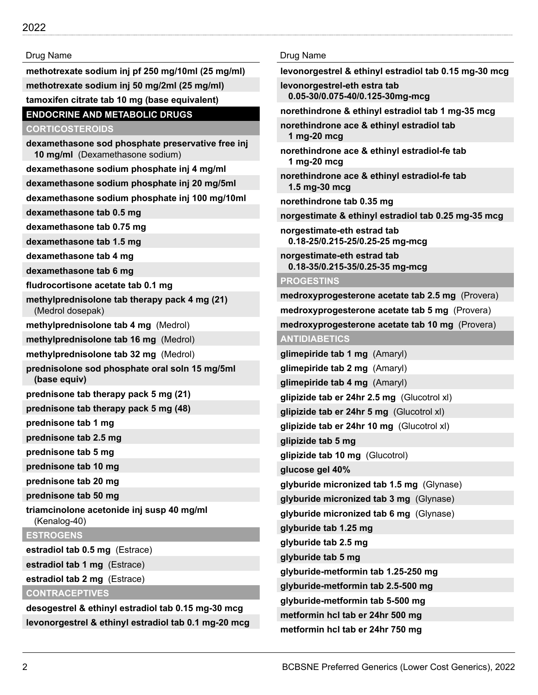**methotrexate sodium inj pf 250 mg/10ml (25 mg/ml) methotrexate sodium inj 50 mg/2ml (25 mg/ml) tamoxifen citrate tab 10 mg (base equivalent)**

## **ENDOCRINE AND METABOLIC DRUGS**

**CORTICOSTEROIDS**

**dexamethasone sod phosphate preservative free inj 10 mg/ml** (Dexamethasone sodium) **dexamethasone sodium phosphate inj 4 mg/ml dexamethasone sodium phosphate inj 20 mg/5ml**

**dexamethasone sodium phosphate inj 100 mg/10ml**

**dexamethasone tab 0.5 mg**

**dexamethasone tab 0.75 mg**

**dexamethasone tab 1.5 mg**

**dexamethasone tab 4 mg**

**dexamethasone tab 6 mg**

**fludrocortisone acetate tab 0.1 mg**

**methylprednisolone tab therapy pack 4 mg (21)** (Medrol dosepak)

**methylprednisolone tab 4 mg** (Medrol)

**methylprednisolone tab 16 mg** (Medrol)

**methylprednisolone tab 32 mg** (Medrol)

**prednisolone sod phosphate oral soln 15 mg/5ml (base equiv)**

**prednisone tab therapy pack 5 mg (21)**

**prednisone tab therapy pack 5 mg (48)**

**prednisone tab 1 mg**

**prednisone tab 2.5 mg**

**prednisone tab 5 mg**

**prednisone tab 10 mg**

**prednisone tab 20 mg**

**prednisone tab 50 mg**

**triamcinolone acetonide inj susp 40 mg/ml** (Kenalog-40)

**ESTROGENS**

**estradiol tab 0.5 mg** (Estrace)

**estradiol tab 1 mg** (Estrace)

**estradiol tab 2 mg** (Estrace)

**CONTRACEPTIVES**

**desogestrel & ethinyl estradiol tab 0.15 mg-30 mcg levonorgestrel & ethinyl estradiol tab 0.1 mg-20 mcg**

#### Drug Name

**levonorgestrel & ethinyl estradiol tab 0.15 mg-30 mcg**

**levonorgestrel-eth estra tab 0.05-30/0.075-40/0.125-30mg-mcg**

**norethindrone & ethinyl estradiol tab 1 mg-35 mcg**

**norethindrone ace & ethinyl estradiol tab 1 mg-20 mcg**

**norethindrone ace & ethinyl estradiol-fe tab 1 mg-20 mcg**

**norethindrone ace & ethinyl estradiol-fe tab 1.5 mg-30 mcg**

**norethindrone tab 0.35 mg**

**norgestimate & ethinyl estradiol tab 0.25 mg-35 mcg**

**norgestimate-eth estrad tab 0.18-25/0.215-25/0.25-25 mg-mcg**

**norgestimate-eth estrad tab 0.18-35/0.215-35/0.25-35 mg-mcg**

#### **PROGESTINS**

**medroxyprogesterone acetate tab 2.5 mg** (Provera) **medroxyprogesterone acetate tab 5 mg** (Provera) **medroxyprogesterone acetate tab 10 mg** (Provera) **ANTIDIABETICS glimepiride tab 1 mg** (Amaryl) **glimepiride tab 2 mg** (Amaryl) **glimepiride tab 4 mg** (Amaryl) **glipizide tab er 24hr 2.5 mg** (Glucotrol xl) **glipizide tab er 24hr 5 mg** (Glucotrol xl) **glipizide tab er 24hr 10 mg** (Glucotrol xl) **glipizide tab 5 mg glipizide tab 10 mg** (Glucotrol) **glucose gel 40% glyburide micronized tab 1.5 mg** (Glynase) **glyburide micronized tab 3 mg** (Glynase) **glyburide micronized tab 6 mg** (Glynase) **glyburide tab 1.25 mg glyburide tab 2.5 mg glyburide tab 5 mg glyburide-metformin tab 1.25-250 mg glyburide-metformin tab 2.5-500 mg glyburide-metformin tab 5-500 mg metformin hcl tab er 24hr 500 mg metformin hcl tab er 24hr 750 mg**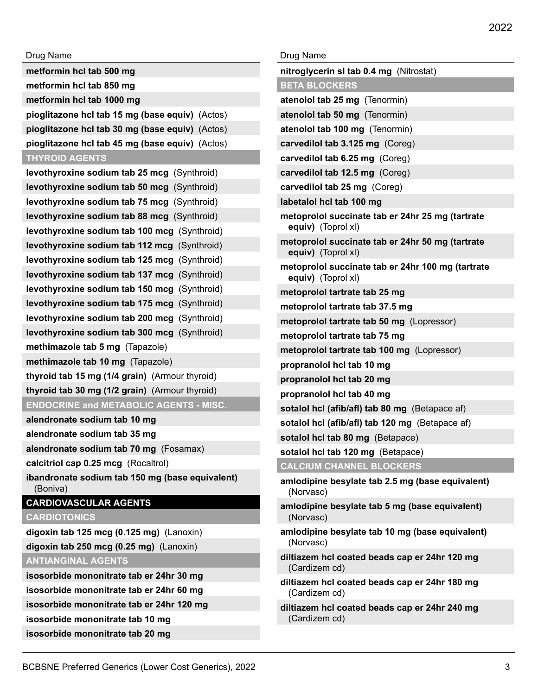| Drug Name                                                   |  |
|-------------------------------------------------------------|--|
| metformin hcl tab 500 mg                                    |  |
| metformin hcl tab 850 mg                                    |  |
| metformin hcl tab 1000 mg                                   |  |
| pioglitazone hcl tab 15 mg (base equiv) (Actos)             |  |
| pioglitazone hcl tab 30 mg (base equiv) (Actos)             |  |
| pioglitazone hcl tab 45 mg (base equiv) (Actos)             |  |
| <b>THYROID AGENTS</b>                                       |  |
| levothyroxine sodium tab 25 mcg (Synthroid)                 |  |
| levothyroxine sodium tab 50 mcg (Synthroid)                 |  |
| levothyroxine sodium tab 75 mcg (Synthroid)                 |  |
| levothyroxine sodium tab 88 mcg (Synthroid)                 |  |
| levothyroxine sodium tab 100 mcg (Synthroid)                |  |
| levothyroxine sodium tab 112 mcg (Synthroid)                |  |
| levothyroxine sodium tab 125 mcg (Synthroid)                |  |
| levothyroxine sodium tab 137 mcg (Synthroid)                |  |
| levothyroxine sodium tab 150 mcg (Synthroid)                |  |
| levothyroxine sodium tab 175 mcg (Synthroid)                |  |
| levothyroxine sodium tab 200 mcg (Synthroid)                |  |
| levothyroxine sodium tab 300 mcg (Synthroid)                |  |
| methimazole tab 5 mg (Tapazole)                             |  |
| methimazole tab 10 mg (Tapazole)                            |  |
| thyroid tab 15 mg (1/4 grain) (Armour thyroid)              |  |
| thyroid tab 30 mg (1/2 grain) (Armour thyroid)              |  |
| <b>ENDOCRINE and METABOLIC AGENTS - MISC.</b>               |  |
| alendronate sodium tab 10 mg                                |  |
| alendronate sodium tab 35 mg                                |  |
| alendronate sodium tab 70 mg (Fosamax)                      |  |
| calcitriol cap 0.25 mcg (Rocaltrol)                         |  |
| ibandronate sodium tab 150 mg (base equivalent)<br>(Boniva) |  |
| <b>CARDIOVASCULAR AGENTS</b>                                |  |
| <b>CARDIOTONICS</b>                                         |  |
| digoxin tab 125 mcg (0.125 mg) (Lanoxin)                    |  |
| digoxin tab 250 mcg (0.25 mg) (Lanoxin)                     |  |
| <b>ANTIANGINAL AGENTS</b>                                   |  |
| isosorbide mononitrate tab er 24hr 30 mg                    |  |
| isosorbide mononitrate tab er 24hr 60 mg                    |  |
| isosorbide mononitrate tab er 24hr 120 mg                   |  |
| isosorbide mononitrate tab 10 mg                            |  |
| isosorbide mononitrate tab 20 mg                            |  |

| Drug Name                                                               |
|-------------------------------------------------------------------------|
| nitroglycerin sl tab 0.4 mg (Nitrostat)                                 |
| <b>BETA BLOCKERS</b>                                                    |
| atenolol tab 25 mg (Tenormin)                                           |
| atenolol tab 50 mg (Tenormin)                                           |
| atenolol tab 100 mg (Tenormin)                                          |
| carvedilol tab 3.125 mg (Coreg)                                         |
| carvedilol tab 6.25 mg (Coreg)                                          |
| carvedilol tab 12.5 mg (Coreg)                                          |
| carvedilol tab 25 mg (Coreg)                                            |
| labetalol hcl tab 100 mg                                                |
| metoprolol succinate tab er 24hr 25 mg (tartrate<br>equiv) (Toprol xl)  |
| metoprolol succinate tab er 24hr 50 mg (tartrate<br>equiv) (Toprol xl)  |
| metoprolol succinate tab er 24hr 100 mg (tartrate<br>equiv) (Toprol xl) |
| metoprolol tartrate tab 25 mg                                           |
| metoprolol tartrate tab 37.5 mg                                         |
| metoprolol tartrate tab 50 mg (Lopressor)                               |
| metoprolol tartrate tab 75 mg                                           |
| metoprolol tartrate tab 100 mg (Lopressor)                              |
| propranolol hcl tab 10 mg                                               |
| propranolol hcl tab 20 mg                                               |
| propranolol hcl tab 40 mg                                               |
| sotalol hcl (afib/afl) tab 80 mg (Betapace af)                          |
| sotalol hcl (afib/afl) tab 120 mg (Betapace af)                         |
| sotalol hcl tab 80 mg (Betapace)                                        |
| sotalol hcl tab 120 mg (Betapace)                                       |
| <b>CALCIUM CHANNEL BLOCKERS</b>                                         |
| amlodipine besylate tab 2.5 mg (base equivalent)<br>(Norvasc)           |
| amlodipine besylate tab 5 mg (base equivalent)<br>(Norvasc)             |
| amlodipine besylate tab 10 mg (base equivalent)<br>(Norvasc)            |
| diltiazem hcl coated beads cap er 24hr 120 mg<br>(Cardizem cd)          |
| diltiazem hcl coated beads cap er 24hr 180 mg<br>(Cardizem cd)          |
| diltiazem hcl coated beads cap er 24hr 240 mg<br>(Cardizem cd)          |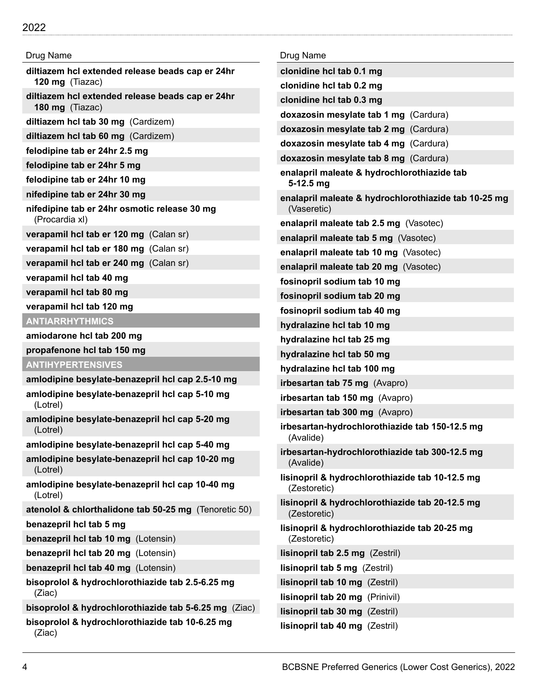| Drug Name                                                           |
|---------------------------------------------------------------------|
| diltiazem hcl extended release beads cap er 24hr<br>120 mg (Tiazac) |
| diltiazem hcl extended release beads cap er 24hr<br>180 mg (Tiazac) |
| diltiazem hcl tab 30 mg (Cardizem)                                  |
| diltiazem hcl tab 60 mg (Cardizem)                                  |
| felodipine tab er 24hr 2.5 mg                                       |
| felodipine tab er 24hr 5 mg                                         |
| felodipine tab er 24hr 10 mg                                        |
| nifedipine tab er 24hr 30 mg                                        |
| nifedipine tab er 24hr osmotic release 30 mg<br>(Procardia xl)      |
| verapamil hcl tab er 120 mg (Calan sr)                              |
| verapamil hcl tab er 180 mg (Calan sr)                              |
| verapamil hcl tab er 240 mg (Calan sr)                              |
| verapamil hcl tab 40 mg                                             |
| verapamil hcl tab 80 mg                                             |
| verapamil hcl tab 120 mg                                            |
| <b>ANTIARRHYTHMICS</b>                                              |
| amiodarone hcl tab 200 mg                                           |
| propafenone hcl tab 150 mg                                          |
| <b>ANTIHYPERTENSIVES</b>                                            |
| amlodipine besylate-benazepril hcl cap 2.5-10 mg                    |
| amlodipine besylate-benazepril hcl cap 5-10 mg<br>(Lotrel)          |
| amlodipine besylate-benazepril hcl cap 5-20 mg<br>(Lotrel)          |
| amlodipine besylate-benazepril hcl cap 5-40 mg                      |
| amlodipine besylate-benazepril hcl cap 10-20 mg<br>(Lotrel)         |
| amlodipine besylate-benazepril hcl cap 10-40 mg<br>(Lotrel)         |
| atenolol & chlorthalidone tab 50-25 mg (Tenoretic 50)               |
| benazepril hcl tab 5 mg                                             |
| benazepril hcl tab 10 mg (Lotensin)                                 |
| benazepril hcl tab 20 mg (Lotensin)                                 |
| benazepril hcl tab 40 mg (Lotensin)                                 |
| bisoprolol & hydrochlorothiazide tab 2.5-6.25 mg<br>(Ziac)          |
| bisoprolol & hydrochlorothiazide tab 5-6.25 mg (Ziac)               |
| bisoprolol & hydrochlorothiazide tab 10-6.25 mg<br>(Ziac)           |

| Drug Name                                                           |
|---------------------------------------------------------------------|
| clonidine hcl tab 0.1 mg                                            |
| clonidine hcl tab 0.2 mg                                            |
| clonidine hcl tab 0.3 mg                                            |
| doxazosin mesylate tab 1 mg (Cardura)                               |
| doxazosin mesylate tab 2 mg (Cardura)                               |
| doxazosin mesylate tab 4 mg (Cardura)                               |
| doxazosin mesylate tab 8 mg (Cardura)                               |
| enalapril maleate & hydrochlorothiazide tab<br>$5-12.5$ mg          |
| enalapril maleate & hydrochlorothiazide tab 10-25 mg<br>(Vaseretic) |
| enalapril maleate tab 2.5 mg (Vasotec)                              |
| enalapril maleate tab 5 mg (Vasotec)                                |
| enalapril maleate tab 10 mg (Vasotec)                               |
| enalapril maleate tab 20 mg (Vasotec)                               |
| fosinopril sodium tab 10 mg                                         |
| fosinopril sodium tab 20 mg                                         |
| fosinopril sodium tab 40 mg                                         |
| hydralazine hcl tab 10 mg                                           |
| hydralazine hcl tab 25 mg                                           |
| hydralazine hcl tab 50 mg                                           |
| hydralazine hcl tab 100 mg                                          |
| irbesartan tab 75 mg (Avapro)                                       |
| irbesartan tab 150 mg (Avapro)                                      |
| irbesartan tab 300 mg (Avapro)                                      |
| irbesartan-hydrochlorothiazide tab 150-12.5 mg<br>(Avalide)         |
| irbesartan-hydrochlorothiazide tab 300-12.5 mg<br>(Avalide)         |
| lisinopril & hydrochlorothiazide tab 10-12.5 mg<br>(Zestoretic)     |
| lisinopril & hydrochlorothiazide tab 20-12.5 mg<br>(Zestoretic)     |
| lisinopril & hydrochlorothiazide tab 20-25 mg<br>(Zestoretic)       |
| lisinopril tab 2.5 mg (Zestril)                                     |
| lisinopril tab 5 mg (Zestril)                                       |
| lisinopril tab 10 mg (Zestril)                                      |
| lisinopril tab 20 mg (Prinivil)                                     |
| lisinopril tab 30 mg (Zestril)                                      |
| lisinopril tab 40 mg (Zestril)                                      |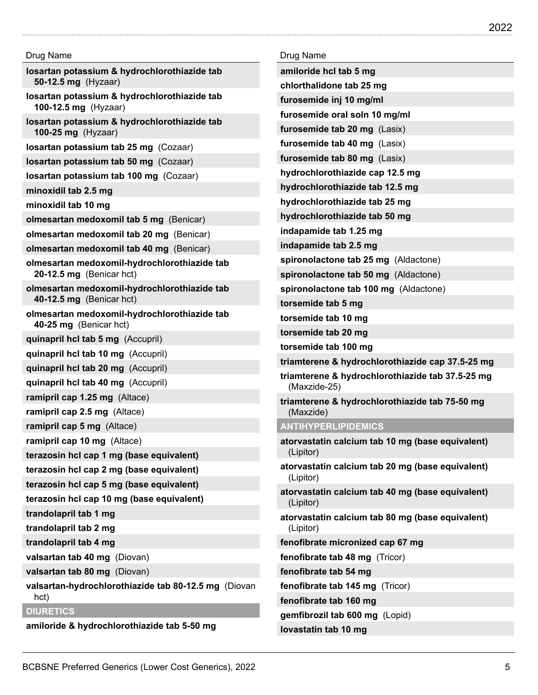| losartan potassium & hydrochlorothiazide tab<br>50-12.5 mg (Hyzaar)      |
|--------------------------------------------------------------------------|
| losartan potassium & hydrochlorothiazide tab<br>100-12.5 mg (Hyzaar)     |
| losartan potassium & hydrochlorothiazide tab<br>100-25 mg (Hyzaar)       |
| losartan potassium tab 25 mg (Cozaar)                                    |
| losartan potassium tab 50 mg (Cozaar)                                    |
| losartan potassium tab 100 mg (Cozaar)                                   |
| minoxidil tab 2.5 mg                                                     |
| minoxidil tab 10 mg                                                      |
| olmesartan medoxomil tab 5 mg (Benicar)                                  |
| olmesartan medoxomil tab 20 mg (Benicar)                                 |
| olmesartan medoxomil tab 40 mg (Benicar)                                 |
| olmesartan medoxomil-hydrochlorothiazide tab<br>20-12.5 mg (Benicar hct) |
| olmesartan medoxomil-hydrochlorothiazide tab<br>40-12.5 mg (Benicar hct) |
| olmesartan medoxomil-hydrochlorothiazide tab<br>40-25 mg (Benicar hct)   |
| quinapril hcl tab 5 mg (Accupril)                                        |
| quinapril hcl tab 10 mg (Accupril)                                       |
| quinapril hcl tab 20 mg (Accupril)                                       |
| quinapril hcl tab 40 mg (Accupril)                                       |
| ramipril cap 1.25 mg (Altace)                                            |
| ramipril cap 2.5 mg (Altace)                                             |
| ramipril cap 5 mg (Altace)                                               |
| ramipril cap 10 mg (Altace)                                              |
| terazosin hcl cap 1 mg (base equivalent)                                 |
| terazosin hcl cap 2 mg (base equivalent)                                 |
| terazosin hcl cap 5 mg (base equivalent)                                 |
| terazosin hcl cap 10 mg (base equivalent)                                |
| trandolapril tab 1 mg                                                    |
| trandolapril tab 2 mg                                                    |
| trandolapril tab 4 mg                                                    |
| valsartan tab 40 mg (Diovan)                                             |
| valsartan tab 80 mg (Diovan)                                             |
| valsartan-hydrochlorothiazide tab 80-12.5 mg (Diovan<br>hct)             |
| <b>DIURETICS</b>                                                         |
| amiloride & hydrochlorothiazide tab 5-50 mg                              |

| Drug Name                                                        |
|------------------------------------------------------------------|
| amiloride hcl tab 5 mg                                           |
| chlorthalidone tab 25 mg                                         |
| furosemide inj 10 mg/ml                                          |
| furosemide oral soln 10 mg/ml                                    |
| furosemide tab 20 mg (Lasix)                                     |
| furosemide tab 40 mg (Lasix)                                     |
| furosemide tab 80 mg (Lasix)                                     |
| hydrochlorothiazide cap 12.5 mg                                  |
| hydrochlorothiazide tab 12.5 mg                                  |
| hydrochlorothiazide tab 25 mg                                    |
| hydrochlorothiazide tab 50 mg                                    |
| indapamide tab 1.25 mg                                           |
| indapamide tab 2.5 mg                                            |
| spironolactone tab 25 mg (Aldactone)                             |
| spironolactone tab 50 mg (Aldactone)                             |
| spironolactone tab 100 mg (Aldactone)                            |
| torsemide tab 5 mg                                               |
| torsemide tab 10 mg                                              |
| torsemide tab 20 mg                                              |
| torsemide tab 100 mg                                             |
| triamterene & hydrochlorothiazide cap 37.5-25 mg                 |
| triamterene & hydrochlorothiazide tab 37.5-25 mg<br>(Maxzide-25) |
| triamterene & hydrochlorothiazide tab 75-50 mg<br>(Maxzide)      |
| <b>ANTIHYPERLIPIDEMICS</b>                                       |
| atorvastatin calcium tab 10 mg (base equivalent)<br>(Lipitor)    |
| atorvastatin calcium tab 20 mg (base equivalent)<br>(Lipitor)    |
| atorvastatin calcium tab 40 mg (base equivalent)<br>(Lipitor)    |
| atorvastatin calcium tab 80 mg (base equivalent)<br>(Lipitor)    |
| fenofibrate micronized cap 67 mg                                 |
| fenofibrate tab 48 mg (Tricor)                                   |
| fenofibrate tab 54 mg                                            |
| fenofibrate tab 145 mg (Tricor)                                  |
| fenofibrate tab 160 mg                                           |
| gemfibrozil tab 600 mg (Lopid)                                   |

**lovastatin tab 10 mg**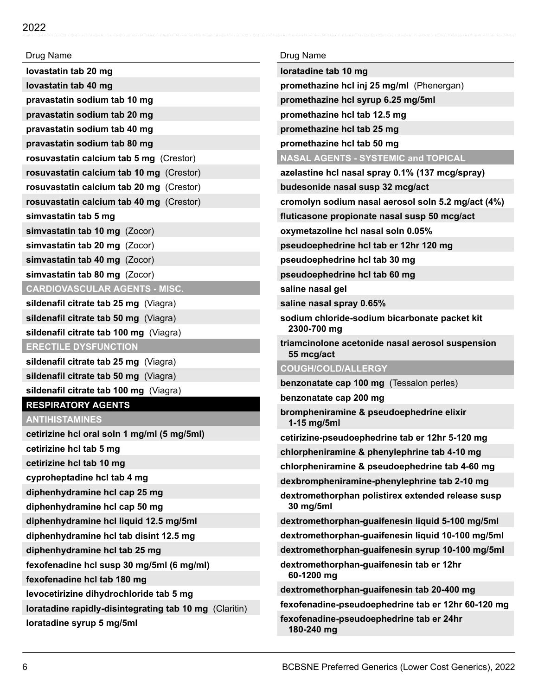| Drug Name                                                                       | Drug Name                                                      |
|---------------------------------------------------------------------------------|----------------------------------------------------------------|
| lovastatin tab 20 mg                                                            | loratadine tab 10 mg                                           |
| lovastatin tab 40 mg                                                            | promethazine hcl inj 25 mg/ml (Phenergan)                      |
| pravastatin sodium tab 10 mg                                                    | promethazine hcl syrup 6.25 mg/5ml                             |
| pravastatin sodium tab 20 mg                                                    | promethazine hcl tab 12.5 mg                                   |
| pravastatin sodium tab 40 mg                                                    | promethazine hcl tab 25 mg                                     |
| pravastatin sodium tab 80 mg                                                    | promethazine hcl tab 50 mg                                     |
| rosuvastatin calcium tab 5 mg (Crestor)                                         | <b>NASAL AGENTS - SYSTEMIC and TOPICAL</b>                     |
| rosuvastatin calcium tab 10 mg (Crestor)                                        | azelastine hcl nasal spray 0.1% (137 mcg/spray)                |
| rosuvastatin calcium tab 20 mg (Crestor)                                        | budesonide nasal susp 32 mcg/act                               |
| rosuvastatin calcium tab 40 mg (Crestor)                                        | cromolyn sodium nasal aerosol soln 5.2 mg/act (4%)             |
| simvastatin tab 5 mg                                                            | fluticasone propionate nasal susp 50 mcg/act                   |
| simvastatin tab 10 mg (Zocor)                                                   | oxymetazoline hcl nasal soln 0.05%                             |
| simvastatin tab 20 mg (Zocor)                                                   | pseudoephedrine hcl tab er 12hr 120 mg                         |
| simvastatin tab 40 mg (Zocor)                                                   | pseudoephedrine hcl tab 30 mg                                  |
| simvastatin tab 80 mg (Zocor)                                                   | pseudoephedrine hcl tab 60 mg                                  |
| <b>CARDIOVASCULAR AGENTS - MISC.</b>                                            | saline nasal gel                                               |
| sildenafil citrate tab 25 mg (Viagra)                                           | saline nasal spray 0.65%                                       |
| sildenafil citrate tab 50 mg (Viagra)<br>sildenafil citrate tab 100 mg (Viagra) | sodium chloride-sodium bicarbonate packet kit<br>2300-700 mg   |
| <b>ERECTILE DYSFUNCTION</b>                                                     | triamcinolone acetonide nasal aerosol suspension<br>55 mcg/act |
| sildenafil citrate tab 25 mg (Viagra)                                           | <b>COUGH/COLD/ALLERGY</b>                                      |
| sildenafil citrate tab 50 mg (Viagra)                                           | benzonatate cap 100 mg (Tessalon perles)                       |
| sildenafil citrate tab 100 mg (Viagra)                                          | benzonatate cap 200 mg                                         |
| <b>RESPIRATORY AGENTS</b><br><b>ANTIHISTAMINES</b>                              | brompheniramine & pseudoephedrine elixir<br>1-15 mg/5ml        |
| cetirizine hcl oral soln 1 mg/ml (5 mg/5ml)                                     | cetirizine-pseudoephedrine tab er 12hr 5-120 mg                |
| cetirizine hcl tab 5 mg                                                         | chlorpheniramine & phenylephrine tab 4-10 mg                   |
| cetirizine hcl tab 10 mg                                                        | chlorpheniramine & pseudoephedrine tab 4-60 mg                 |
| cyproheptadine hcl tab 4 mg                                                     | dexbrompheniramine-phenylephrine tab 2-10 mg                   |
| diphenhydramine hcl cap 25 mg                                                   | dextromethorphan polistirex extended release susp              |
| diphenhydramine hcl cap 50 mg                                                   | 30 mg/5ml                                                      |
| diphenhydramine hcl liquid 12.5 mg/5ml                                          | dextromethorphan-guaifenesin liquid 5-100 mg/5ml               |
| diphenhydramine hcl tab disint 12.5 mg                                          | dextromethorphan-guaifenesin liquid 10-100 mg/5ml              |
| diphenhydramine hcl tab 25 mg                                                   | dextromethorphan-guaifenesin syrup 10-100 mg/5ml               |
| fexofenadine hcl susp 30 mg/5ml (6 mg/ml)                                       | dextromethorphan-guaifenesin tab er 12hr                       |
| fexofenadine hcl tab 180 mg                                                     | 60-1200 mg                                                     |
| levocetirizine dihydrochloride tab 5 mg                                         | dextromethorphan-guaifenesin tab 20-400 mg                     |
| loratadine rapidly-disintegrating tab 10 mg (Claritin)                          | fexofenadine-pseudoephedrine tab er 12hr 60-120 mg             |
| loratadine syrup 5 mg/5ml                                                       | fexofenadine-pseudoephedrine tab er 24hr<br>180-240 mg         |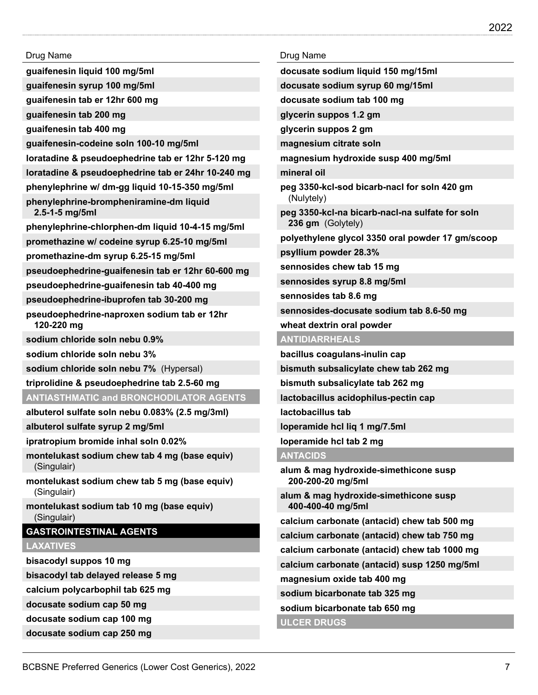**guaifenesin liquid 100 mg/5ml**

**guaifenesin syrup 100 mg/5ml**

**guaifenesin tab er 12hr 600 mg**

**guaifenesin tab 200 mg**

**guaifenesin tab 400 mg**

**guaifenesin-codeine soln 100-10 mg/5ml**

**loratadine & pseudoephedrine tab er 12hr 5-120 mg**

**loratadine & pseudoephedrine tab er 24hr 10-240 mg**

**phenylephrine w/ dm-gg liquid 10-15-350 mg/5ml**

**phenylephrine-brompheniramine-dm liquid 2.5-1-5 mg/5ml**

**phenylephrine-chlorphen-dm liquid 10-4-15 mg/5ml**

**promethazine w/ codeine syrup 6.25-10 mg/5ml**

**promethazine-dm syrup 6.25-15 mg/5ml**

**pseudoephedrine-guaifenesin tab er 12hr 60-600 mg**

**pseudoephedrine-guaifenesin tab 40-400 mg**

**pseudoephedrine-ibuprofen tab 30-200 mg**

**pseudoephedrine-naproxen sodium tab er 12hr 120-220 mg**

**sodium chloride soln nebu 0.9%**

**sodium chloride soln nebu 3%**

**sodium chloride soln nebu 7%** (Hypersal)

**triprolidine & pseudoephedrine tab 2.5-60 mg**

## **ANTIASTHMATIC and BRONCHODILATOR AGENTS**

**albuterol sulfate soln nebu 0.083% (2.5 mg/3ml)**

**albuterol sulfate syrup 2 mg/5ml**

**ipratropium bromide inhal soln 0.02%**

**montelukast sodium chew tab 4 mg (base equiv)** (Singulair)

**montelukast sodium chew tab 5 mg (base equiv)** (Singulair)

**montelukast sodium tab 10 mg (base equiv)** (Singulair)

## **GASTROINTESTINAL AGENTS**

## **LAXATIVES**

**bisacodyl suppos 10 mg**

**bisacodyl tab delayed release 5 mg**

**calcium polycarbophil tab 625 mg**

**docusate sodium cap 50 mg**

**docusate sodium cap 100 mg**

**docusate sodium cap 250 mg**

#### Drug Name

**docusate sodium liquid 150 mg/15ml**

**docusate sodium syrup 60 mg/15ml**

**docusate sodium tab 100 mg**

**glycerin suppos 1.2 gm**

**glycerin suppos 2 gm**

**magnesium citrate soln**

**magnesium hydroxide susp 400 mg/5ml**

**mineral oil**

**peg 3350-kcl-sod bicarb-nacl for soln 420 gm** (Nulytely)

**peg 3350-kcl-na bicarb-nacl-na sulfate for soln 236 gm** (Golytely)

**polyethylene glycol 3350 oral powder 17 gm/scoop**

**psyllium powder 28.3%**

**sennosides chew tab 15 mg**

**sennosides syrup 8.8 mg/5ml**

**sennosides tab 8.6 mg**

**sennosides-docusate sodium tab 8.6-50 mg**

**wheat dextrin oral powder**

## **ANTIDIARRHEALS**

**bacillus coagulans-inulin cap**

**bismuth subsalicylate chew tab 262 mg**

**bismuth subsalicylate tab 262 mg**

**lactobacillus acidophilus-pectin cap**

**lactobacillus tab**

**loperamide hcl liq 1 mg/7.5ml**

**loperamide hcl tab 2 mg**

#### **ANTACIDS**

**alum & mag hydroxide-simethicone susp 200-200-20 mg/5ml**

**alum & mag hydroxide-simethicone susp 400-400-40 mg/5ml**

**calcium carbonate (antacid) chew tab 500 mg**

**calcium carbonate (antacid) chew tab 750 mg**

**calcium carbonate (antacid) chew tab 1000 mg**

**calcium carbonate (antacid) susp 1250 mg/5ml**

**magnesium oxide tab 400 mg**

**sodium bicarbonate tab 325 mg**

**sodium bicarbonate tab 650 mg**

**ULCER DRUGS**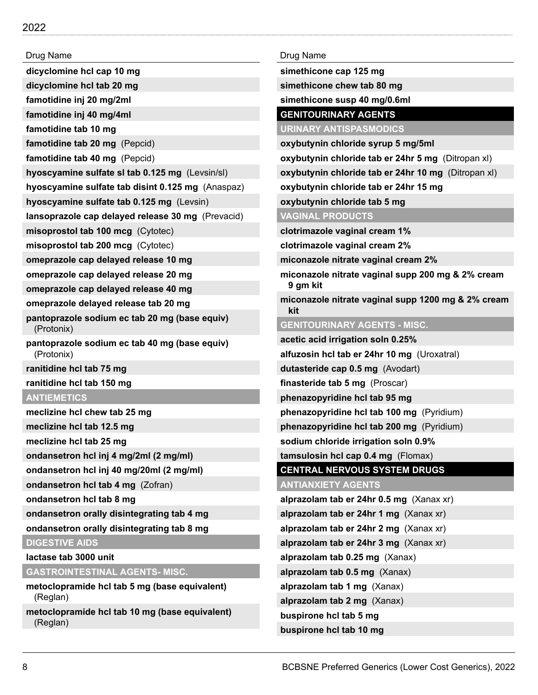**dicyclomine hcl cap 10 mg**

**dicyclomine hcl tab 20 mg**

**famotidine inj 20 mg/2ml**

**famotidine inj 40 mg/4ml**

**famotidine tab 10 mg**

**famotidine tab 20 mg** (Pepcid)

**famotidine tab 40 mg** (Pepcid)

**hyoscyamine sulfate sl tab 0.125 mg** (Levsin/sl)

**hyoscyamine sulfate tab disint 0.125 mg** (Anaspaz)

**hyoscyamine sulfate tab 0.125 mg** (Levsin)

**lansoprazole cap delayed release 30 mg** (Prevacid)

**misoprostol tab 100 mcg** (Cytotec)

**misoprostol tab 200 mcg** (Cytotec)

**omeprazole cap delayed release 10 mg**

**omeprazole cap delayed release 20 mg**

**omeprazole cap delayed release 40 mg**

**omeprazole delayed release tab 20 mg**

**pantoprazole sodium ec tab 20 mg (base equiv)** (Protonix)

**pantoprazole sodium ec tab 40 mg (base equiv)** (Protonix)

**ranitidine hcl tab 75 mg**

**ranitidine hcl tab 150 mg**

### **ANTIEMETICS**

**meclizine hcl chew tab 25 mg**

**meclizine hcl tab 12.5 mg**

**meclizine hcl tab 25 mg**

**ondansetron hcl inj 4 mg/2ml (2 mg/ml)**

**ondansetron hcl inj 40 mg/20ml (2 mg/ml)**

**ondansetron hcl tab 4 mg** (Zofran)

**ondansetron hcl tab 8 mg**

**ondansetron orally disintegrating tab 4 mg**

**ondansetron orally disintegrating tab 8 mg**

**DIGESTIVE AIDS**

**lactase tab 3000 unit**

**GASTROINTESTINAL AGENTS- MISC.**

**metoclopramide hcl tab 5 mg (base equivalent)** (Reglan)

**metoclopramide hcl tab 10 mg (base equivalent)** (Reglan)

Drug Name

**simethicone cap 125 mg**

**simethicone chew tab 80 mg**

**simethicone susp 40 mg/0.6ml**

**GENITOURINARY AGENTS**

**URINARY ANTISPASMODICS**

**oxybutynin chloride syrup 5 mg/5ml**

**oxybutynin chloride tab er 24hr 5 mg** (Ditropan xl)

**oxybutynin chloride tab er 24hr 10 mg** (Ditropan xl)

**oxybutynin chloride tab er 24hr 15 mg**

**oxybutynin chloride tab 5 mg**

**VAGINAL PRODUCTS**

**clotrimazole vaginal cream 1%**

**clotrimazole vaginal cream 2%**

**miconazole nitrate vaginal cream 2%**

**miconazole nitrate vaginal supp 200 mg & 2% cream 9 gm kit**

**miconazole nitrate vaginal supp 1200 mg & 2% cream kit**

#### **GENITOURINARY AGENTS - MISC.**

**acetic acid irrigation soln 0.25% alfuzosin hcl tab er 24hr 10 mg** (Uroxatral)

**dutasteride cap 0.5 mg** (Avodart)

**finasteride tab 5 mg** (Proscar)

**phenazopyridine hcl tab 95 mg**

**phenazopyridine hcl tab 100 mg** (Pyridium)

**phenazopyridine hcl tab 200 mg** (Pyridium)

**sodium chloride irrigation soln 0.9%**

**tamsulosin hcl cap 0.4 mg** (Flomax)

**CENTRAL NERVOUS SYSTEM DRUGS**

**ANTIANXIETY AGENTS alprazolam tab er 24hr 0.5 mg** (Xanax xr) **alprazolam tab er 24hr 1 mg** (Xanax xr)

**alprazolam tab er 24hr 2 mg** (Xanax xr)

**alprazolam tab er 24hr 3 mg** (Xanax xr)

**alprazolam tab 0.25 mg** (Xanax)

**alprazolam tab 0.5 mg** (Xanax)

**alprazolam tab 1 mg** (Xanax)

**alprazolam tab 2 mg** (Xanax)

**buspirone hcl tab 5 mg**

**buspirone hcl tab 10 mg**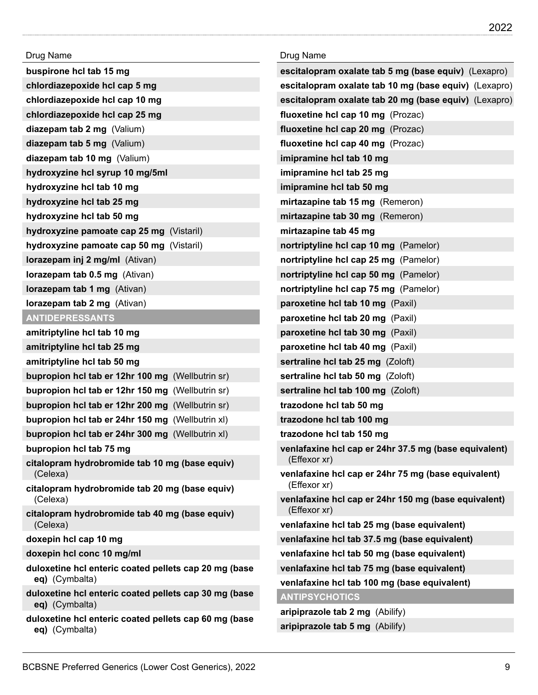| Drug Name                                                                 | Drug Name                                                             |
|---------------------------------------------------------------------------|-----------------------------------------------------------------------|
| buspirone hcl tab 15 mg                                                   | escitalopram oxalate tab 5 mg (base equiv) (Lexapro)                  |
| chlordiazepoxide hcl cap 5 mg                                             | escitalopram oxalate tab 10 mg (base equiv) (Lexapro)                 |
| chlordiazepoxide hcl cap 10 mg                                            | escitalopram oxalate tab 20 mg (base equiv) (Lexapro)                 |
| chlordiazepoxide hcl cap 25 mg                                            | fluoxetine hcl cap 10 mg (Prozac)                                     |
| diazepam tab 2 mg (Valium)                                                | fluoxetine hcl cap 20 mg (Prozac)                                     |
| diazepam tab 5 mg (Valium)                                                | fluoxetine hcl cap 40 mg (Prozac)                                     |
| diazepam tab 10 mg (Valium)                                               | imipramine hcl tab 10 mg                                              |
| hydroxyzine hcl syrup 10 mg/5ml                                           | imipramine hcl tab 25 mg                                              |
| hydroxyzine hcl tab 10 mg                                                 | imipramine hcl tab 50 mg                                              |
| hydroxyzine hcl tab 25 mg                                                 | mirtazapine tab 15 mg (Remeron)                                       |
| hydroxyzine hcl tab 50 mg                                                 | mirtazapine tab 30 mg (Remeron)                                       |
| hydroxyzine pamoate cap 25 mg (Vistaril)                                  | mirtazapine tab 45 mg                                                 |
| hydroxyzine pamoate cap 50 mg (Vistaril)                                  | nortriptyline hcl cap 10 mg (Pamelor)                                 |
| lorazepam inj 2 mg/ml (Ativan)                                            | nortriptyline hcl cap 25 mg (Pamelor)                                 |
| <b>lorazepam tab 0.5 mg</b> (Ativan)                                      | nortriptyline hcl cap 50 mg (Pamelor)                                 |
| <b>lorazepam tab 1 mg</b> (Ativan)                                        | nortriptyline hcl cap 75 mg (Pamelor)                                 |
| <b>lorazepam tab 2 mg</b> (Ativan)                                        | paroxetine hcl tab 10 mg (Paxil)                                      |
| <b>ANTIDEPRESSANTS</b>                                                    | paroxetine hcl tab 20 mg (Paxil)                                      |
| amitriptyline hcl tab 10 mg                                               | paroxetine hcl tab 30 mg (Paxil)                                      |
| amitriptyline hcl tab 25 mg                                               | paroxetine hcl tab 40 mg (Paxil)                                      |
| amitriptyline hcl tab 50 mg                                               | sertraline hcl tab 25 mg (Zoloft)                                     |
| bupropion hcl tab er 12hr 100 mg (Wellbutrin sr)                          | sertraline hcl tab 50 mg (Zoloft)                                     |
| bupropion hcl tab er 12hr 150 mg (Wellbutrin sr)                          | sertraline hcl tab 100 mg (Zoloft)                                    |
| bupropion hcl tab er 12hr 200 mg (Wellbutrin sr)                          | trazodone hcl tab 50 mg                                               |
| bupropion hcl tab er 24hr 150 mg (Wellbutrin xl)                          | trazodone hcl tab 100 mg                                              |
| bupropion hcl tab er 24hr 300 mg (Wellbutrin xl)                          | trazodone hcl tab 150 mg                                              |
| bupropion hcl tab 75 mg<br>citalopram hydrobromide tab 10 mg (base equiv) | venlafaxine hcl cap er 24hr 37.5 mg (base equivalent)<br>(Effexor xr) |
| (Celexa)                                                                  | venlafaxine hcl cap er 24hr 75 mg (base equivalent)                   |
| citalopram hydrobromide tab 20 mg (base equiv)<br>(Celexa)                | (Effexor xr)<br>venlafaxine hcl cap er 24hr 150 mg (base equivalent)  |
| citalopram hydrobromide tab 40 mg (base equiv)<br>(Celexa)                | (Effexor xr)<br>venlafaxine hcl tab 25 mg (base equivalent)           |
| doxepin hcl cap 10 mg                                                     | venlafaxine hcl tab 37.5 mg (base equivalent)                         |
| doxepin hcl conc 10 mg/ml                                                 | venlafaxine hcl tab 50 mg (base equivalent)                           |
| duloxetine hcl enteric coated pellets cap 20 mg (base                     | venlafaxine hcl tab 75 mg (base equivalent)                           |
| eq) (Cymbalta)                                                            | venlafaxine hcl tab 100 mg (base equivalent)                          |
| duloxetine hcl enteric coated pellets cap 30 mg (base<br>eq) (Cymbalta)   | <b>ANTIPSYCHOTICS</b>                                                 |
| duloxetine hcl enteric coated pellets cap 60 mg (base                     | aripiprazole tab 2 mg (Abilify)                                       |
| eq) (Cymbalta)                                                            | aripiprazole tab 5 mg (Abilify)                                       |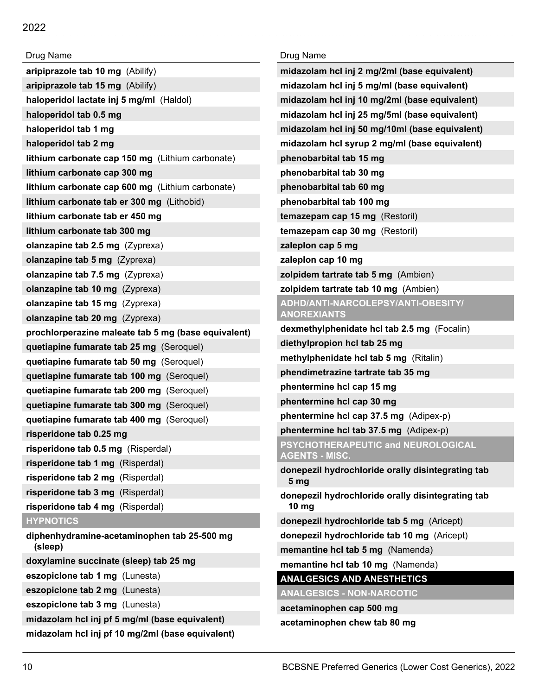| Drug Name                                              | Drug Name                                                   |
|--------------------------------------------------------|-------------------------------------------------------------|
| aripiprazole tab 10 mg (Abilify)                       | midazolam hcl inj 2 mg/2ml (base equivalent)                |
| aripiprazole tab 15 mg (Abilify)                       | midazolam hcl inj 5 mg/ml (base equivalent)                 |
| haloperidol lactate inj 5 mg/ml (Haldol)               | midazolam hcl inj 10 mg/2ml (base equivalent)               |
| haloperidol tab 0.5 mg                                 | midazolam hcl inj 25 mg/5ml (base equivalent)               |
| haloperidol tab 1 mg                                   | midazolam hcl inj 50 mg/10ml (base equivalent)              |
| haloperidol tab 2 mg                                   | midazolam hcl syrup 2 mg/ml (base equivalent)               |
| lithium carbonate cap 150 mg (Lithium carbonate)       | phenobarbital tab 15 mg                                     |
| lithium carbonate cap 300 mg                           | phenobarbital tab 30 mg                                     |
| lithium carbonate cap 600 mg (Lithium carbonate)       | phenobarbital tab 60 mg                                     |
| lithium carbonate tab er 300 mg (Lithobid)             | phenobarbital tab 100 mg                                    |
| lithium carbonate tab er 450 mg                        | temazepam cap 15 mg (Restoril)                              |
| lithium carbonate tab 300 mg                           | temazepam cap 30 mg (Restoril)                              |
| olanzapine tab 2.5 mg (Zyprexa)                        | zaleplon cap 5 mg                                           |
| olanzapine tab 5 mg (Zyprexa)                          | zaleplon cap 10 mg                                          |
| olanzapine tab 7.5 mg $(Zyprexa)$                      | zolpidem tartrate tab 5 mg (Ambien)                         |
| olanzapine tab 10 mg (Zyprexa)                         | zolpidem tartrate tab 10 mg (Ambien)                        |
| olanzapine tab 15 mg (Zyprexa)                         | ADHD/ANTI-NARCOLEPSY/ANTI-OBESITY/                          |
| olanzapine tab 20 mg (Zyprexa)                         | <b>ANOREXIANTS</b>                                          |
| prochlorperazine maleate tab 5 mg (base equivalent)    | dexmethylphenidate hcl tab 2.5 mg (Focalin)                 |
| quetiapine fumarate tab 25 mg (Seroquel)               | diethylpropion hcl tab 25 mg                                |
| quetiapine fumarate tab 50 mg (Seroquel)               | methylphenidate hcl tab 5 mg (Ritalin)                      |
| quetiapine fumarate tab 100 mg (Seroquel)              | phendimetrazine tartrate tab 35 mg                          |
| quetiapine fumarate tab 200 mg (Seroquel)              | phentermine hcl cap 15 mg                                   |
| quetiapine fumarate tab 300 mg (Seroquel)              | phentermine hcl cap 30 mg                                   |
| quetiapine fumarate tab 400 mg (Seroquel)              | phentermine hcl cap 37.5 mg (Adipex-p)                      |
| risperidone tab 0.25 mg                                | phentermine hcl tab 37.5 mg (Adipex-p)                      |
| risperidone tab 0.5 mg (Risperdal)                     | PSYCHOTHERAPEUTIC and NEUROLOGICAL<br><b>AGENTS - MISC.</b> |
| risperidone tab 1 mg (Risperdal)                       | donepezil hydrochloride orally disintegrating tab           |
| risperidone tab 2 mg (Risperdal)                       | 5 <sub>mg</sub>                                             |
| risperidone tab 3 mg (Risperdal)                       | donepezil hydrochloride orally disintegrating tab           |
| risperidone tab 4 mg (Risperdal)                       | 10 <sub>mg</sub>                                            |
| <b>HYPNOTICS</b>                                       | donepezil hydrochloride tab 5 mg (Aricept)                  |
| diphenhydramine-acetaminophen tab 25-500 mg<br>(sleep) | donepezil hydrochloride tab 10 mg (Aricept)                 |
| doxylamine succinate (sleep) tab 25 mg                 | memantine hcl tab 5 mg (Namenda)                            |
| eszopiclone tab 1 mg (Lunesta)                         | memantine hcl tab 10 mg (Namenda)                           |
| eszopiclone tab 2 mg (Lunesta)                         | <b>ANALGESICS AND ANESTHETICS</b>                           |
| eszopiclone tab 3 mg (Lunesta)                         | <b>ANALGESICS - NON-NARCOTIC</b>                            |
| midazolam hcl inj pf 5 mg/ml (base equivalent)         | acetaminophen cap 500 mg                                    |
| midazolam hcl inj pf 10 mg/2ml (base equivalent)       | acetaminophen chew tab 80 mg                                |
|                                                        |                                                             |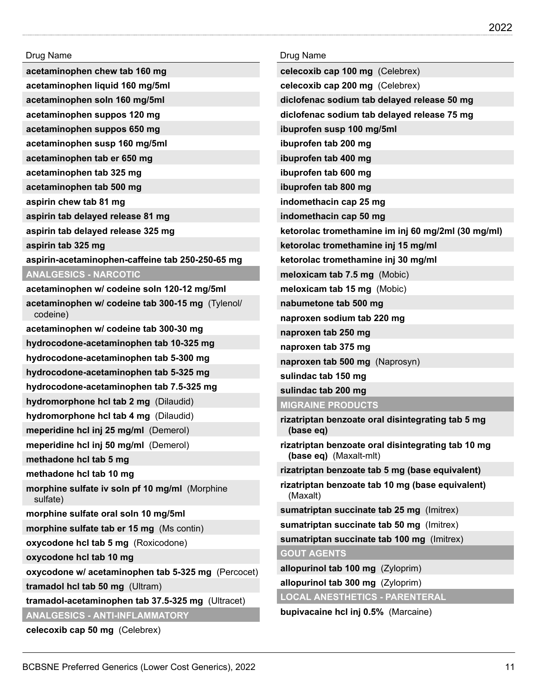| Drug Name                                                  | Drug Name                                                                    |
|------------------------------------------------------------|------------------------------------------------------------------------------|
| acetaminophen chew tab 160 mg                              | celecoxib cap 100 mg (Celebrex)                                              |
| acetaminophen liquid 160 mg/5ml                            | celecoxib cap 200 mg (Celebrex)                                              |
| acetaminophen soln 160 mg/5ml                              | diclofenac sodium tab delayed release 50 mg                                  |
| acetaminophen suppos 120 mg                                | diclofenac sodium tab delayed release 75 mg                                  |
| acetaminophen suppos 650 mg                                | ibuprofen susp 100 mg/5ml                                                    |
| acetaminophen susp 160 mg/5ml                              | ibuprofen tab 200 mg                                                         |
| acetaminophen tab er 650 mg                                | ibuprofen tab 400 mg                                                         |
| acetaminophen tab 325 mg                                   | ibuprofen tab 600 mg                                                         |
| acetaminophen tab 500 mg                                   | ibuprofen tab 800 mg                                                         |
| aspirin chew tab 81 mg                                     | indomethacin cap 25 mg                                                       |
| aspirin tab delayed release 81 mg                          | indomethacin cap 50 mg                                                       |
| aspirin tab delayed release 325 mg                         | ketorolac tromethamine im inj 60 mg/2ml (30 mg/ml)                           |
| aspirin tab 325 mg                                         | ketorolac tromethamine inj 15 mg/ml                                          |
| aspirin-acetaminophen-caffeine tab 250-250-65 mg           | ketorolac tromethamine inj 30 mg/ml                                          |
| <b>ANALGESICS - NARCOTIC</b>                               | meloxicam tab 7.5 mg (Mobic)                                                 |
| acetaminophen w/ codeine soln 120-12 mg/5ml                | meloxicam tab 15 mg (Mobic)                                                  |
| acetaminophen w/ codeine tab 300-15 mg (Tylenol/           | nabumetone tab 500 mg                                                        |
| codeine)                                                   | naproxen sodium tab 220 mg                                                   |
| acetaminophen w/ codeine tab 300-30 mg                     | naproxen tab 250 mg                                                          |
| hydrocodone-acetaminophen tab 10-325 mg                    | naproxen tab 375 mg                                                          |
| hydrocodone-acetaminophen tab 5-300 mg                     | naproxen tab 500 mg (Naprosyn)                                               |
| hydrocodone-acetaminophen tab 5-325 mg                     | sulindac tab 150 mg                                                          |
| hydrocodone-acetaminophen tab 7.5-325 mg                   | sulindac tab 200 mg                                                          |
| hydromorphone hcl tab 2 mg (Dilaudid)                      | <b>MIGRAINE PRODUCTS</b>                                                     |
| hydromorphone hcl tab 4 mg (Dilaudid)                      | rizatriptan benzoate oral disintegrating tab 5 mg                            |
| meperidine hcl inj 25 mg/ml (Demerol)                      | (base eq)                                                                    |
| meperidine hcl inj 50 mg/ml (Demerol)                      | rizatriptan benzoate oral disintegrating tab 10 mg<br>(base eq) (Maxalt-mlt) |
| methadone hcl tab 5 mg                                     | rizatriptan benzoate tab 5 mg (base equivalent)                              |
| methadone hcl tab 10 mg                                    | rizatriptan benzoate tab 10 mg (base equivalent)                             |
| morphine sulfate iv soln pf 10 mg/ml (Morphine<br>sulfate) | (Maxalt)                                                                     |
| morphine sulfate oral soln 10 mg/5ml                       | sumatriptan succinate tab 25 mg (Imitrex)                                    |
| morphine sulfate tab er 15 mg (Ms contin)                  | sumatriptan succinate tab 50 mg (Imitrex)                                    |
| oxycodone hcl tab 5 mg (Roxicodone)                        | sumatriptan succinate tab 100 mg (Imitrex)                                   |
| oxycodone hcl tab 10 mg                                    | <b>GOUT AGENTS</b>                                                           |
| oxycodone w/ acetaminophen tab 5-325 mg (Percocet)         | allopurinol tab 100 mg (Zyloprim)                                            |
| tramadol hcl tab 50 mg (Ultram)                            | allopurinol tab 300 mg (Zyloprim)                                            |
| tramadol-acetaminophen tab 37.5-325 mg (Ultracet)          | <b>LOCAL ANESTHETICS - PARENTERAL</b>                                        |
| <b>ANALGESICS - ANTI-INFLAMMATORY</b>                      | bupivacaine hcl inj 0.5% (Marcaine)                                          |

**celecoxib cap 50 mg** (Celebrex)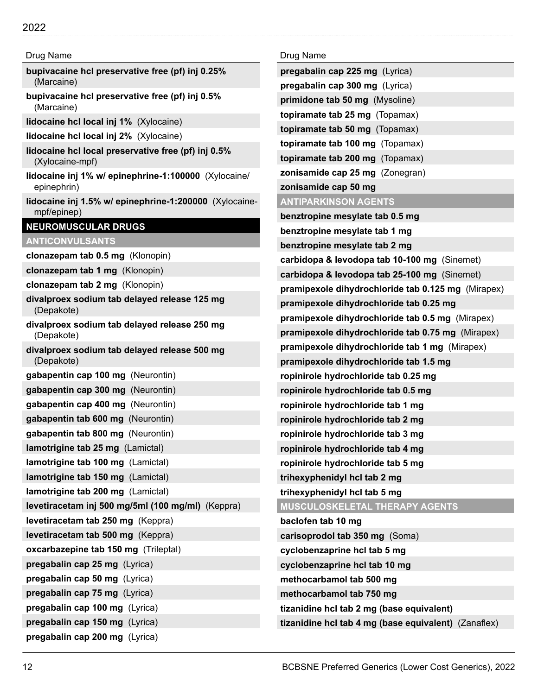## 2022

#### Drug Name

- **bupivacaine hcl preservative free (pf) inj 0.25%** (Marcaine)
- **bupivacaine hcl preservative free (pf) inj 0.5%** (Marcaine)
- **lidocaine hcl local inj 1%** (Xylocaine)
- **lidocaine hcl local inj 2%** (Xylocaine)
- **lidocaine hcl local preservative free (pf) inj 0.5%** (Xylocaine-mpf)
- **lidocaine inj 1% w/ epinephrine-1:100000** (Xylocaine/ epinephrin)
- **lidocaine inj 1.5% w/ epinephrine-1:200000** (Xylocainempf/epinep)

#### **NEUROMUSCULAR DRUGS**

## **ANTICONVULSANTS**

**clonazepam tab 0.5 mg** (Klonopin)

- **clonazepam tab 1 mg** (Klonopin)
- **clonazepam tab 2 mg** (Klonopin)
- **divalproex sodium tab delayed release 125 mg** (Depakote)
- **divalproex sodium tab delayed release 250 mg** (Depakote)
- **divalproex sodium tab delayed release 500 mg** (Depakote)

| gabapentin cap 100 mg (Neurontin)                 |
|---------------------------------------------------|
| gabapentin cap 300 mg (Neurontin)                 |
| gabapentin cap 400 mg (Neurontin)                 |
| gabapentin tab 600 mg (Neurontin)                 |
| gabapentin tab 800 mg (Neurontin)                 |
| <b>lamotrigine tab 25 mg</b> (Lamictal)           |
| lamotrigine tab 100 mg (Lamictal)                 |
| <b>lamotrigine tab 150 mg</b> (Lamictal)          |
| lamotrigine tab 200 mg (Lamictal)                 |
| levetiracetam inj 500 mg/5ml (100 mg/ml) (Keppra) |
| levetiracetam tab 250 mg (Keppra)                 |
| levetiracetam tab 500 mg (Keppra)                 |
| oxcarbazepine tab 150 mg (Trileptal)              |
| pregabalin cap 25 mg (Lyrica)                     |
| pregabalin cap 50 mg (Lyrica)                     |
| pregabalin cap 75 mg (Lyrica)                     |
| pregabalin cap 100 mg (Lyrica)                    |
| pregabalin cap 150 mg (Lyrica)                    |
| pregabalin cap 200 mg (Lyrica)                    |

| Drug Name                                            |
|------------------------------------------------------|
| pregabalin cap 225 mg (Lyrica)                       |
| pregabalin cap 300 mg (Lyrica)                       |
| primidone tab 50 mg (Mysoline)                       |
| topiramate tab 25 mg (Topamax)                       |
| topiramate tab 50 mg (Topamax)                       |
| topiramate tab 100 mg (Topamax)                      |
| topiramate tab 200 mg (Topamax)                      |
| zonisamide cap 25 mg (Zonegran)                      |
| zonisamide cap 50 mg                                 |
| <b>ANTIPARKINSON AGENTS</b>                          |
| benztropine mesylate tab 0.5 mg                      |
| benztropine mesylate tab 1 mg                        |
| benztropine mesylate tab 2 mg                        |
| carbidopa & levodopa tab 10-100 mg (Sinemet)         |
| carbidopa & levodopa tab 25-100 mg (Sinemet)         |
| pramipexole dihydrochloride tab 0.125 mg (Mirapex)   |
| pramipexole dihydrochloride tab 0.25 mg              |
| pramipexole dihydrochloride tab 0.5 mg (Mirapex)     |
| pramipexole dihydrochloride tab 0.75 mg (Mirapex)    |
| pramipexole dihydrochloride tab 1 mg (Mirapex)       |
| pramipexole dihydrochloride tab 1.5 mg               |
| ropinirole hydrochloride tab 0.25 mg                 |
| ropinirole hydrochloride tab 0.5 mg                  |
| ropinirole hydrochloride tab 1 mg                    |
| ropinirole hydrochloride tab 2 mg                    |
| ropinirole hydrochloride tab 3 mg                    |
| ropinirole hydrochloride tab 4 mg                    |
| ropinirole hydrochloride tab 5 mg                    |
| trihexyphenidyl hcl tab 2 mg                         |
| trihexyphenidyl hcl tab 5 mg                         |
| MUSCULOSKELETAL THERAPY AGENTS                       |
| baclofen tab 10 mg                                   |
| carisoprodol tab 350 mg (Soma)                       |
| cyclobenzaprine hcl tab 5 mg                         |
| cyclobenzaprine hcl tab 10 mg                        |
| methocarbamol tab 500 mg                             |
| methocarbamol tab 750 mg                             |
| tizanidine hcl tab 2 mg (base equivalent)            |
| tizanidine hcl tab 4 mg (base equivalent) (Zanaflex) |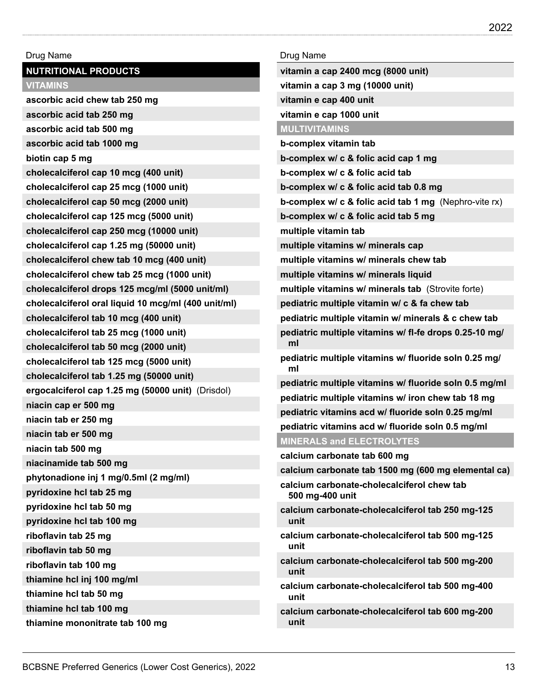| Drug Name                                           | Drug Name                                                        |
|-----------------------------------------------------|------------------------------------------------------------------|
| <b>NUTRITIONAL PRODUCTS</b>                         | vitamin a cap 2400 mcg (8000 unit)                               |
| <b>VITAMINS</b>                                     | vitamin a cap 3 mg (10000 unit)                                  |
| ascorbic acid chew tab 250 mg                       | vitamin e cap 400 unit                                           |
| ascorbic acid tab 250 mg                            | vitamin e cap 1000 unit                                          |
| ascorbic acid tab 500 mg                            | <b>MULTIVITAMINS</b>                                             |
| ascorbic acid tab 1000 mg                           | b-complex vitamin tab                                            |
| biotin cap 5 mg                                     | b-complex w/ c & folic acid cap 1 mg                             |
| cholecalciferol cap 10 mcg (400 unit)               | b-complex w/ c & folic acid tab                                  |
| cholecalciferol cap 25 mcg (1000 unit)              | b-complex w/ c & folic acid tab 0.8 mg                           |
| cholecalciferol cap 50 mcg (2000 unit)              | <b>b-complex w/ c &amp; folic acid tab 1 mg</b> (Nephro-vite rx) |
| cholecalciferol cap 125 mcg (5000 unit)             | b-complex w/ c & folic acid tab 5 mg                             |
| cholecalciferol cap 250 mcg (10000 unit)            | multiple vitamin tab                                             |
| cholecalciferol cap 1.25 mg (50000 unit)            | multiple vitamins w/ minerals cap                                |
| cholecalciferol chew tab 10 mcg (400 unit)          | multiple vitamins w/ minerals chew tab                           |
| cholecalciferol chew tab 25 mcg (1000 unit)         | multiple vitamins w/ minerals liquid                             |
| cholecalciferol drops 125 mcg/ml (5000 unit/ml)     | multiple vitamins w/ minerals tab (Strovite forte)               |
| cholecalciferol oral liquid 10 mcg/ml (400 unit/ml) | pediatric multiple vitamin w/ c & fa chew tab                    |
| cholecalciferol tab 10 mcg (400 unit)               | pediatric multiple vitamin w/ minerals & c chew tab              |
| cholecalciferol tab 25 mcg (1000 unit)              | pediatric multiple vitamins w/ fl-fe drops 0.25-10 mg/           |
| cholecalciferol tab 50 mcg (2000 unit)              | ml                                                               |
| cholecalciferol tab 125 mcg (5000 unit)             | pediatric multiple vitamins w/ fluoride soln 0.25 mg/<br>ml      |
| cholecalciferol tab 1.25 mg (50000 unit)            | pediatric multiple vitamins w/ fluoride soln 0.5 mg/ml           |
| ergocalciferol cap 1.25 mg (50000 unit) (Drisdol)   | pediatric multiple vitamins w/ iron chew tab 18 mg               |
| niacin cap er 500 mg                                | pediatric vitamins acd w/ fluoride soln 0.25 mg/ml               |
| niacin tab er 250 mg                                | pediatric vitamins acd w/ fluoride soln 0.5 mg/ml                |
| niacin tab er 500 mg                                | <b>MINERALS and ELECTROLYTES</b>                                 |
| niacin tab 500 mg                                   | calcium carbonate tab 600 mg                                     |
| niacinamide tab 500 mg                              | calcium carbonate tab 1500 mg (600 mg elemental ca)              |
| phytonadione inj 1 mg/0.5ml (2 mg/ml)               | calcium carbonate-cholecalciferol chew tab                       |
| pyridoxine hcl tab 25 mg                            | 500 mg-400 unit                                                  |
| pyridoxine hcl tab 50 mg                            | calcium carbonate-cholecalciferol tab 250 mg-125                 |
| pyridoxine hcl tab 100 mg                           | unit                                                             |
| riboflavin tab 25 mg                                | calcium carbonate-cholecalciferol tab 500 mg-125                 |
| riboflavin tab 50 mg                                | unit                                                             |
| riboflavin tab 100 mg                               | calcium carbonate-cholecalciferol tab 500 mg-200<br>unit         |
| thiamine hcl inj 100 mg/ml                          | calcium carbonate-cholecalciferol tab 500 mg-400                 |
| thiamine hcl tab 50 mg                              | unit                                                             |
| thiamine hcl tab 100 mg                             | calcium carbonate-cholecalciferol tab 600 mg-200                 |
| thiamine mononitrate tab 100 mg                     | unit                                                             |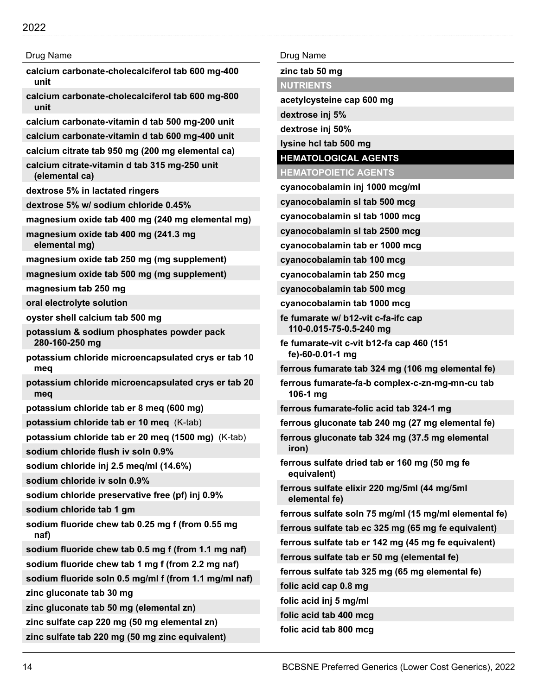| Drug Name                                                       |
|-----------------------------------------------------------------|
| calcium carbonate-cholecalciferol tab 600 mg-400<br>unit        |
| calcium carbonate-cholecalciferol tab 600 mg-800<br>unit        |
| calcium carbonate-vitamin d tab 500 mg-200 unit                 |
| calcium carbonate-vitamin d tab 600 mg-400 unit                 |
| calcium citrate tab 950 mg (200 mg elemental ca)                |
| calcium citrate-vitamin d tab 315 mg-250 unit<br>(elemental ca) |
| dextrose 5% in lactated ringers                                 |
| dextrose 5% w/ sodium chloride 0.45%                            |
| magnesium oxide tab 400 mg (240 mg elemental mg)                |
| magnesium oxide tab 400 mg (241.3 mg<br>elemental mg)           |
| magnesium oxide tab 250 mg (mg supplement)                      |
| magnesium oxide tab 500 mg (mg supplement)                      |
| magnesium tab 250 mg                                            |
| oral electrolyte solution                                       |
| oyster shell calcium tab 500 mg                                 |
| potassium & sodium phosphates powder pack<br>280-160-250 mg     |
| potassium chloride microencapsulated crys er tab 10<br>meq      |
| potassium chloride microencapsulated crys er tab 20<br>meq      |
| potassium chloride tab er 8 meg (600 mg)                        |
| potassium chloride tab er 10 meq (K-tab)                        |
| potassium chloride tab er 20 meq (1500 mg) (K-tab)              |
| sodium chloride flush iv soln 0.9%                              |
| sodium chloride inj 2.5 meg/ml (14.6%)                          |
| sodium chloride iv soln 0.9%                                    |
| sodium chloride preservative free (pf) inj 0.9%                 |
| sodium chloride tab 1 gm                                        |
| sodium fluoride chew tab 0.25 mg f (from 0.55 mg<br>naf)        |
| sodium fluoride chew tab 0.5 mg f (from 1.1 mg naf)             |
| sodium fluoride chew tab 1 mg f (from 2.2 mg naf)               |
| sodium fluoride soln 0.5 mg/ml f (from 1.1 mg/ml naf)           |
| zinc gluconate tab 30 mg                                        |
| zinc gluconate tab 50 mg (elemental zn)                         |
| zinc sulfate cap 220 mg (50 mg elemental zn)                    |
| zinc sulfate tab 220 mg (50 mg zinc equivalent)                 |

Drug Name **zinc tab 50 mg NUTRIENTS acetylcysteine cap 600 mg dextrose inj 5% dextrose inj 50% lysine hcl tab 500 mg HEMATOLOGICAL AGENTS HEMATOPOIETIC AGENTS cyanocobalamin inj 1000 mcg/ml cyanocobalamin sl tab 500 mcg cyanocobalamin sl tab 1000 mcg cyanocobalamin sl tab 2500 mcg cyanocobalamin tab er 1000 mcg cyanocobalamin tab 100 mcg cyanocobalamin tab 250 mcg cyanocobalamin tab 500 mcg cyanocobalamin tab 1000 mcg fe fumarate w/ b12-vit c-fa-ifc cap 110-0.015-75-0.5-240 mg fe fumarate-vit c-vit b12-fa cap 460 (151 fe)-60-0.01-1 mg ferrous fumarate tab 324 mg (106 mg elemental fe) ferrous fumarate-fa-b complex-c-zn-mg-mn-cu tab 106-1 mg ferrous fumarate-folic acid tab 324-1 mg ferrous gluconate tab 240 mg (27 mg elemental fe) ferrous gluconate tab 324 mg (37.5 mg elemental iron) ferrous sulfate dried tab er 160 mg (50 mg fe equivalent) ferrous sulfate elixir 220 mg/5ml (44 mg/5ml elemental fe) ferrous sulfate soln 75 mg/ml (15 mg/ml elemental fe) ferrous sulfate tab ec 325 mg (65 mg fe equivalent) ferrous sulfate tab er 142 mg (45 mg fe equivalent) ferrous sulfate tab er 50 mg (elemental fe)**

**ferrous sulfate tab 325 mg (65 mg elemental fe)**

**folic acid cap 0.8 mg**

**folic acid inj 5 mg/ml**

- **folic acid tab 400 mcg**
- **folic acid tab 800 mcg**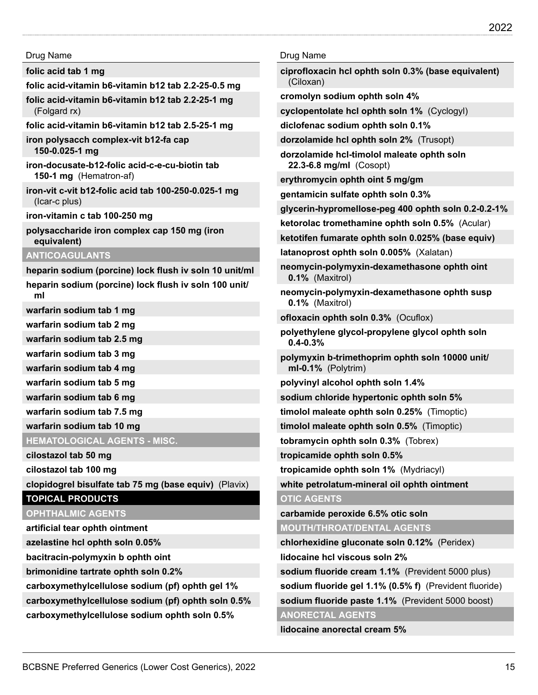**folic acid tab 1 mg**

- **folic acid-vitamin b6-vitamin b12 tab 2.2-25-0.5 mg**
- **folic acid-vitamin b6-vitamin b12 tab 2.2-25-1 mg** (Folgard rx)
- **folic acid-vitamin b6-vitamin b12 tab 2.5-25-1 mg**

**iron polysacch complex-vit b12-fa cap 150-0.025-1 mg**

**iron-docusate-b12-folic acid-c-e-cu-biotin tab 150-1 mg** (Hematron-af)

**iron-vit c-vit b12-folic acid tab 100-250-0.025-1 mg** (Icar-c plus)

**iron-vitamin c tab 100-250 mg**

**polysaccharide iron complex cap 150 mg (iron equivalent)**

#### **ANTICOAGULANTS**

**heparin sodium (porcine) lock flush iv soln 10 unit/ml**

**heparin sodium (porcine) lock flush iv soln 100 unit/ ml**

**warfarin sodium tab 1 mg**

**warfarin sodium tab 2 mg**

**warfarin sodium tab 2.5 mg**

**warfarin sodium tab 3 mg**

**warfarin sodium tab 4 mg**

**warfarin sodium tab 5 mg**

**warfarin sodium tab 6 mg**

**warfarin sodium tab 7.5 mg**

**warfarin sodium tab 10 mg**

**HEMATOLOGICAL AGENTS - MISC.**

**cilostazol tab 50 mg**

**cilostazol tab 100 mg**

**clopidogrel bisulfate tab 75 mg (base equiv)** (Plavix)

## **TOPICAL PRODUCTS**

#### **OPHTHALMIC AGENTS**

**artificial tear ophth ointment**

**azelastine hcl ophth soln 0.05%**

**bacitracin-polymyxin b ophth oint**

**brimonidine tartrate ophth soln 0.2%**

**carboxymethylcellulose sodium (pf) ophth gel 1%**

**carboxymethylcellulose sodium (pf) ophth soln 0.5%**

**carboxymethylcellulose sodium ophth soln 0.5%**

#### Drug Name

**ciprofloxacin hcl ophth soln 0.3% (base equivalent)** (Ciloxan)

**cromolyn sodium ophth soln 4%**

**cyclopentolate hcl ophth soln 1%** (Cyclogyl)

**diclofenac sodium ophth soln 0.1%**

**dorzolamide hcl ophth soln 2%** (Trusopt)

**dorzolamide hcl-timolol maleate ophth soln 22.3-6.8 mg/ml** (Cosopt)

**erythromycin ophth oint 5 mg/gm**

**gentamicin sulfate ophth soln 0.3%**

**glycerin-hypromellose-peg 400 ophth soln 0.2-0.2-1%**

**ketorolac tromethamine ophth soln 0.5%** (Acular)

**ketotifen fumarate ophth soln 0.025% (base equiv)**

**latanoprost ophth soln 0.005%** (Xalatan)

**neomycin-polymyxin-dexamethasone ophth oint 0.1%** (Maxitrol)

**neomycin-polymyxin-dexamethasone ophth susp 0.1%** (Maxitrol)

**ofloxacin ophth soln 0.3%** (Ocuflox)

**polyethylene glycol-propylene glycol ophth soln 0.4-0.3%**

**polymyxin b-trimethoprim ophth soln 10000 unit/ ml-0.1%** (Polytrim)

**polyvinyl alcohol ophth soln 1.4%**

**sodium chloride hypertonic ophth soln 5%**

**timolol maleate ophth soln 0.25%** (Timoptic)

**timolol maleate ophth soln 0.5%** (Timoptic)

**tobramycin ophth soln 0.3%** (Tobrex)

**tropicamide ophth soln 0.5%**

**tropicamide ophth soln 1%** (Mydriacyl)

**white petrolatum-mineral oil ophth ointment**

#### **OTIC AGENTS**

**carbamide peroxide 6.5% otic soln**

**MOUTH/THROAT/DENTAL AGENTS**

**chlorhexidine gluconate soln 0.12%** (Peridex)

**lidocaine hcl viscous soln 2%**

**sodium fluoride cream 1.1%** (Prevident 5000 plus)

**sodium fluoride gel 1.1% (0.5% f)** (Prevident fluoride)

**sodium fluoride paste 1.1%** (Prevident 5000 boost)

#### **ANORECTAL AGENTS**

**lidocaine anorectal cream 5%**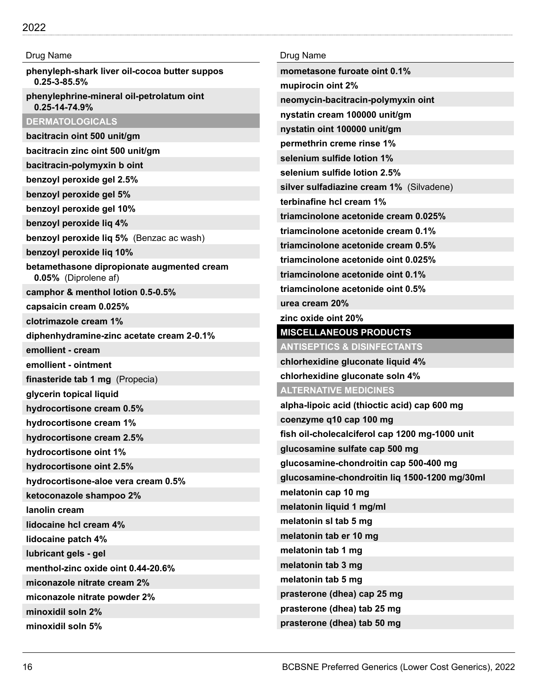| Drug Name                                                           | Dı         |
|---------------------------------------------------------------------|------------|
| phenyleph-shark liver oil-cocoa butter suppos<br>$0.25 - 3 - 85.5%$ | m<br>m     |
| phenylephrine-mineral oil-petrolatum oint<br>0.25-14-74.9%          | n)         |
| <b>DERMATOLOGICALS</b>                                              | n)         |
| bacitracin oint 500 unit/gm                                         | n)         |
| bacitracin zinc oint 500 unit/gm                                    | р          |
| bacitracin-polymyxin b oint                                         | S6         |
| benzoyl peroxide gel 2.5%                                           | S(         |
| benzoyl peroxide gel 5%                                             | si         |
| benzoyl peroxide gel 10%                                            | te         |
| benzoyl peroxide liq 4%                                             | tri        |
| benzoyl peroxide liq 5% (Benzac ac wash)                            | tri        |
| benzoyl peroxide lig 10%                                            | tri        |
| betamethasone dipropionate augmented cream<br>0.05% (Diprolene af)  | tri<br>tri |
| camphor & menthol lotion 0.5-0.5%                                   | tri        |
| capsaicin cream 0.025%                                              | uı         |
| clotrimazole cream 1%                                               | zi         |
| diphenhydramine-zinc acetate cream 2-0.1%                           | M          |
| emollient - cream                                                   | A          |
| emollient - ointment                                                | cł         |
| finasteride tab 1 mg (Propecia)                                     | cł         |
| glycerin topical liquid                                             | A          |
| hydrocortisone cream 0.5%                                           | al         |
| hydrocortisone cream 1%                                             | CО         |
| hydrocortisone cream 2.5%                                           | fis        |
| hydrocortisone oint 1%                                              | gl         |
| hydrocortisone oint 2.5%                                            | gl         |
| hydrocortisone-aloe vera cream 0.5%                                 | gl         |
| ketoconazole shampoo 2%                                             | m          |
| lanolin cream                                                       | m          |
| lidocaine hcl cream 4%                                              | m          |
| lidocaine patch 4%                                                  | m          |
| lubricant gels - gel                                                | m          |
| menthol-zinc oxide oint 0.44-20.6%                                  | m          |
| miconazole nitrate cream 2%                                         | m          |
| miconazole nitrate powder 2%                                        | pı         |
| minoxidil soln 2%                                                   | pı         |
| minoxidil soln 5%                                                   | pı         |

| Drug Name                                      |
|------------------------------------------------|
| mometasone furoate oint 0.1%                   |
| mupirocin oint 2%                              |
| neomycin-bacitracin-polymyxin oint             |
| nystatin cream 100000 unit/gm                  |
| nystatin oint 100000 unit/gm                   |
| permethrin creme rinse 1%                      |
| selenium sulfide lotion 1%                     |
| selenium sulfide lotion 2.5%                   |
| silver sulfadiazine cream 1% (Silvadene)       |
| terbinafine hcl cream 1%                       |
| triamcinolone acetonide cream 0.025%           |
| triamcinolone acetonide cream 0.1%             |
| triamcinolone acetonide cream 0.5%             |
| triamcinolone acetonide oint 0.025%            |
| triamcinolone acetonide oint 0.1%              |
| triamcinolone acetonide oint 0.5%              |
| urea cream 20%                                 |
| zinc oxide oint 20%                            |
| <b>MISCELLANEOUS PRODUCTS</b>                  |
| <b>ANTISEPTICS &amp; DISINFECTANTS</b>         |
| chlorhexidine gluconate liquid 4%              |
| chlorhexidine gluconate soln 4%                |
| <b>ALTERNATIVE MEDICINES</b>                   |
| alpha-lipoic acid (thioctic acid) cap 600 mg   |
| coenzyme q10 cap 100 mg                        |
| fish oil-cholecalciferol cap 1200 mg-1000 unit |
| glucosamine sulfate cap 500 mg                 |
| glucosamine-chondroitin cap 500-400 mg         |
| glucosamine-chondroitin liq 1500-1200 mg/30ml  |
| melatonin cap 10 mg                            |
| melatonin liquid 1 mg/ml                       |
| melatonin sl tab 5 mg                          |
| melatonin tab er 10 mg                         |
| melatonin tab 1 mg                             |
| melatonin tab 3 mg                             |
| melatonin tab 5 mg                             |
| prasterone (dhea) cap 25 mg                    |
| prasterone (dhea) tab 25 mg                    |
| prasterone (dhea) tab 50 mg                    |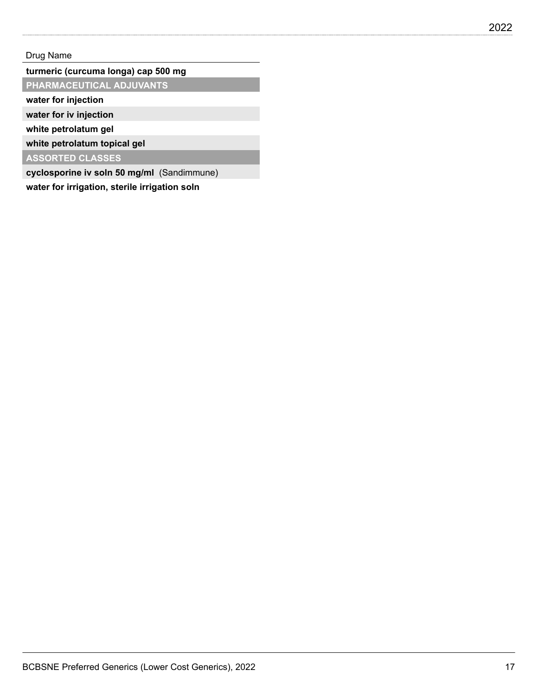## **turmeric (curcuma longa) cap 500 mg**

**PHARMACEUTICAL ADJUVANTS**

**water for injection**

**water for iv injection**

**white petrolatum gel**

**white petrolatum topical gel**

**ASSORTED CLASSES**

**cyclosporine iv soln 50 mg/ml** (Sandimmune)

**water for irrigation, sterile irrigation soln**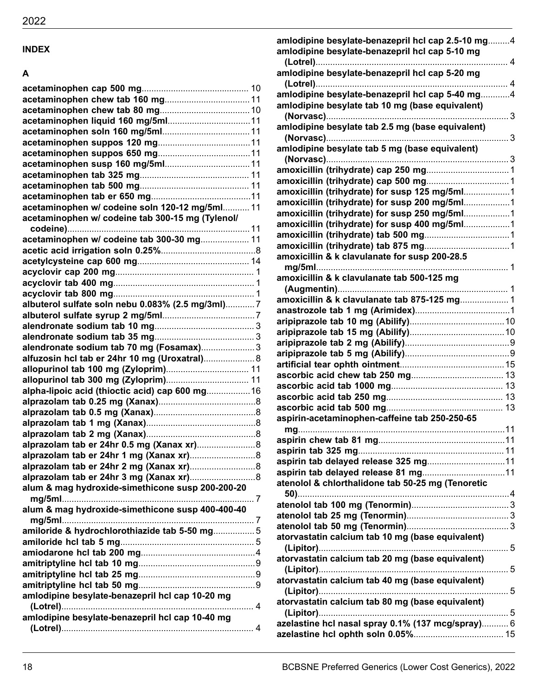# **INDEX**

## **A**

| acetaminophen w/ codeine soln 120-12 mg/5ml 11   |  |
|--------------------------------------------------|--|
| acetaminophen w/ codeine tab 300-15 mg (Tylenol/ |  |
|                                                  |  |
| acetaminophen w/ codeine tab 300-30 mg 11        |  |
|                                                  |  |
|                                                  |  |
|                                                  |  |
|                                                  |  |
|                                                  |  |
| albuterol sulfate soln nebu 0.083% (2.5 mg/3ml)7 |  |
|                                                  |  |
|                                                  |  |
|                                                  |  |
| alendronate sodium tab 70 mg (Fosamax)3          |  |
| alfuzosin hcl tab er 24hr 10 mg (Uroxatral) 8    |  |
|                                                  |  |
|                                                  |  |
| alpha-lipoic acid (thioctic acid) cap 600 mg 16  |  |
|                                                  |  |
|                                                  |  |
|                                                  |  |
|                                                  |  |
| alprazolam tab er 24hr 0.5 mg (Xanax xr) 8       |  |
|                                                  |  |
|                                                  |  |
|                                                  |  |
| alum & mag hydroxide-simethicone susp 200-200-20 |  |
|                                                  |  |
| alum & mag hydroxide-simethicone susp 400-400-40 |  |
|                                                  |  |
| amiloride & hydrochlorothiazide tab 5-50 mg5     |  |
|                                                  |  |
|                                                  |  |
|                                                  |  |
|                                                  |  |
|                                                  |  |
| amlodipine besylate-benazepril hcl cap 10-20 mg  |  |
|                                                  |  |
| amlodipine besylate-benazepril hcl cap 10-40 mg  |  |
|                                                  |  |
|                                                  |  |

| amlodipine besylate-benazepril hcl cap 2.5-10 mg4                                              |    |
|------------------------------------------------------------------------------------------------|----|
| amlodipine besylate-benazepril hcl cap 5-10 mg                                                 |    |
|                                                                                                |    |
| amlodipine besylate-benazepril hcl cap 5-20 mg                                                 |    |
|                                                                                                |    |
| amlodipine besylate-benazepril hcl cap 5-40 mg4                                                |    |
| amlodipine besylate tab 10 mg (base equivalent)                                                |    |
|                                                                                                |    |
| amlodipine besylate tab 2.5 mg (base equivalent)                                               |    |
|                                                                                                |    |
| amlodipine besylate tab 5 mg (base equivalent)                                                 |    |
|                                                                                                |    |
|                                                                                                |    |
|                                                                                                |    |
| amoxicillin (trihydrate) for susp 125 mg/5ml1                                                  |    |
| amoxicillin (trihydrate) for susp 200 mg/5ml1<br>amoxicillin (trihydrate) for susp 250 mg/5ml1 |    |
| amoxicillin (trihydrate) for susp 400 mg/5ml1                                                  |    |
|                                                                                                |    |
|                                                                                                |    |
| amoxicillin & k clavulanate for susp 200-28.5                                                  |    |
|                                                                                                |    |
| amoxicillin & k clavulanate tab 500-125 mg                                                     |    |
|                                                                                                |    |
| amoxicillin & k clavulanate tab 875-125 mg 1                                                   |    |
|                                                                                                |    |
|                                                                                                |    |
|                                                                                                |    |
|                                                                                                |    |
|                                                                                                |    |
|                                                                                                |    |
|                                                                                                |    |
|                                                                                                |    |
|                                                                                                |    |
|                                                                                                |    |
| aspirin-acetaminophen-caffeine tab 250-250-65                                                  |    |
| mg                                                                                             | 11 |
|                                                                                                |    |
|                                                                                                |    |
|                                                                                                |    |
|                                                                                                |    |
| atenolol & chlorthalidone tab 50-25 mg (Tenoretic                                              |    |
|                                                                                                |    |
|                                                                                                |    |
|                                                                                                |    |
|                                                                                                |    |
| atorvastatin calcium tab 10 mg (base equivalent)                                               |    |
|                                                                                                |    |
| atorvastatin calcium tab 20 mg (base equivalent)                                               |    |
|                                                                                                |    |
| atorvastatin calcium tab 40 mg (base equivalent)                                               |    |
|                                                                                                |    |
| atorvastatin calcium tab 80 mg (base equivalent)                                               |    |
|                                                                                                |    |
| azelastine hcl nasal spray 0.1% (137 mcg/spray) 6                                              |    |
|                                                                                                |    |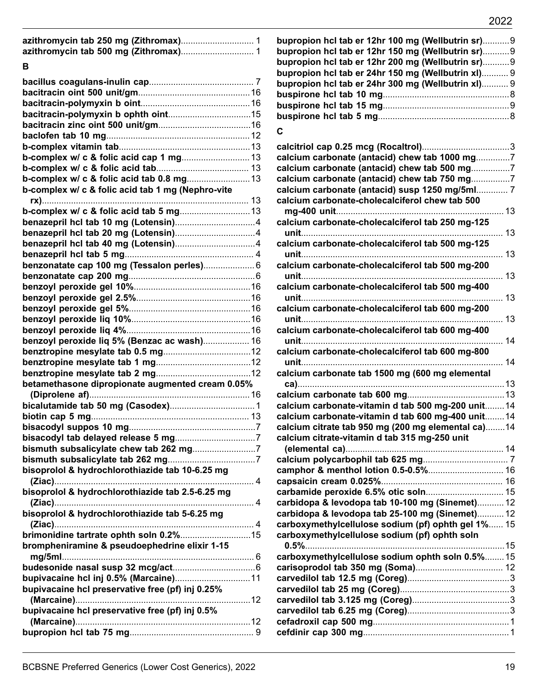| calcium carbonate-cholecalciferol tab 600 mg-800      |
|-------------------------------------------------------|
|                                                       |
|                                                       |
| calcium carbonate tab 1500 mg (600 mg elemental       |
| betamethasone dipropionate augmented cream 0.05%      |
|                                                       |
| calcium carbonate-vitamin d tab 500 mg-200 unit 14    |
| calcium carbonate-vitamin d tab 600 mg-400 unit 14    |
| calcium citrate tab 950 mg (200 mg elemental ca)14    |
| calcium citrate-vitamin d tab 315 mg-250 unit         |
|                                                       |
|                                                       |
|                                                       |
|                                                       |
|                                                       |
| carbidopa & levodopa tab 10-100 mg (Sinemet) 12       |
| carbidopa & levodopa tab 25-100 mg (Sinemet) 12       |
| carboxymethylcellulose sodium (pf) ophth gel 1% 15    |
| carboxymethylcellulose sodium (pf) ophth soln         |
|                                                       |
| carboxymethylcellulose sodium ophth soln 0.5% 15      |
|                                                       |
|                                                       |
|                                                       |
|                                                       |
|                                                       |
|                                                       |
|                                                       |
| BCBSNE Preferred Generics (Lower Cost Generics), 2022 |
|                                                       |

**azithromycin tab 250 mg (Zithromax)**.............................. 1 **azithromycin tab 500 mg (Zithromax)**.............................. 1

**bacillus coagulans-inulin cap**........................................... 7 **bacitracin oint 500 unit/gm**..............................................16 **bacitracin-polymyxin b oint**.............................................16 **bacitracin-polymyxin b ophth oint**..................................15 **bacitracin zinc oint 500 unit/gm**......................................16 **baclofen tab 10 mg**...........................................................12 **b-complex vitamin tab**......................................................13 **b-complex w/ c & folic acid cap 1 mg**............................13 **b-complex w/ c & folic acid tab**...................................... 13 **b-complex w/ c & folic acid tab 0.8 mg**..........................13

**b-complex w/ c & folic acid tab 1 mg (Nephro-vite**

**rx)**..................................................................................... 13 **b-complex w/ c & folic acid tab 5 mg**.............................13 **benazepril hcl tab 10 mg (Lotensin)**.................................4 **benazepril hcl tab 20 mg (Lotensin)**.................................4 **benazepril hcl tab 40 mg (Lotensin)**.................................4 **benazepril hcl tab 5 mg**..................................................... 4 **benzonatate cap 100 mg (Tessalon perles)**..................... 6 **benzonatate cap 200 mg**....................................................6 **benzoyl peroxide gel 10%**................................................16 **benzoyl peroxide gel 2.5%**...............................................16 **benzoyl peroxide gel 5%**..................................................16 **benzoyl peroxide liq 10%**.................................................16 **benzoyl peroxide liq 4%**...................................................16 **benzoyl peroxide liq 5% (Benzac ac wash)**................... 16

**B**

| bupropion hcl tab er 12hr 100 mg (Wellbutrin sr) 9 |  |
|----------------------------------------------------|--|
| bupropion hcl tab er 12hr 150 mg (Wellbutrin sr) 9 |  |
| bupropion hcl tab er 12hr 200 mg (Wellbutrin sr) 9 |  |
| bupropion hcl tab er 24hr 150 mg (Wellbutrin xI) 9 |  |
| bupropion hcl tab er 24hr 300 mg (Wellbutrin xI) 9 |  |
|                                                    |  |
|                                                    |  |
|                                                    |  |
|                                                    |  |

#### **C**

| calcium carbonate (antacid) chew tab 1000 mg7      |    |
|----------------------------------------------------|----|
| calcium carbonate (antacid) chew tab 500 mg7       |    |
| calcium carbonate (antacid) chew tab 750 mg7       |    |
| calcium carbonate (antacid) susp 1250 mg/5ml 7     |    |
| calcium carbonate-cholecalciferol chew tab 500     |    |
|                                                    |    |
| calcium carbonate-cholecalciferol tab 250 mg-125   |    |
|                                                    |    |
| calcium carbonate-cholecalciferol tab 500 mg-125   |    |
|                                                    | 13 |
|                                                    |    |
| calcium carbonate-cholecalciferol tab 500 mg-200   |    |
|                                                    | 13 |
| calcium carbonate-cholecalciferol tab 500 mg-400   |    |
|                                                    |    |
| calcium carbonate-cholecalciferol tab 600 mg-200   |    |
|                                                    | 13 |
| calcium carbonate-cholecalciferol tab 600 mg-400   |    |
|                                                    |    |
| calcium carbonate-cholecalciferol tab 600 mg-800   |    |
|                                                    | 14 |
| calcium carbonate tab 1500 mg (600 mg elemental    |    |
|                                                    |    |
|                                                    |    |
| calcium carbonate-vitamin d tab 500 mg-200 unit 14 |    |
| calcium carbonate-vitamin d tab 600 mg-400 unit 14 |    |
| calcium citrate tab 950 mg (200 mg elemental ca)14 |    |
| calcium citrate-vitamin d tab 315 mg-250 unit      |    |
|                                                    |    |
|                                                    |    |
|                                                    |    |
|                                                    |    |
|                                                    |    |
|                                                    |    |
| carbidopa & levodopa tab 10-100 mg (Sinemet) 12    |    |
| carbidopa & levodopa tab 25-100 mg (Sinemet) 12    |    |
| carboxymethylcellulose sodium (pf) ophth gel 1% 15 |    |
| carboxymethylcellulose sodium (pf) ophth soln      |    |
|                                                    |    |
| carboxymethylcellulose sodium ophth soln 0.5% 15   |    |
|                                                    |    |
|                                                    |    |
|                                                    |    |
|                                                    |    |
|                                                    |    |
|                                                    |    |
|                                                    |    |
|                                                    |    |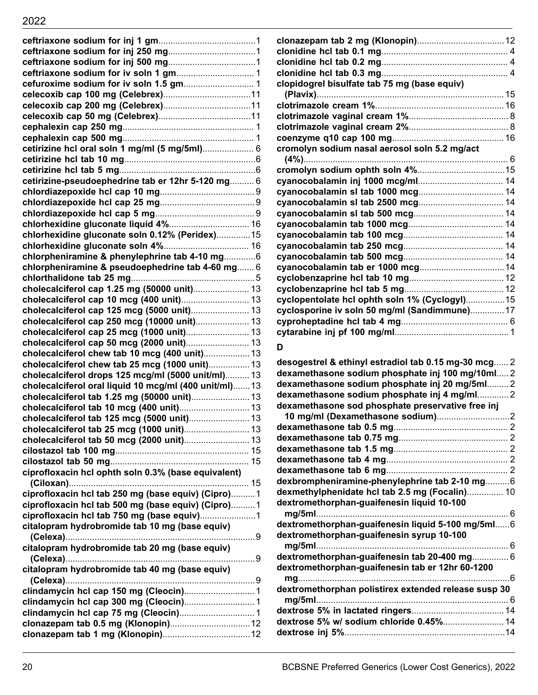| cetirizine hcl oral soln 1 mg/ml (5 mg/5ml) 6                                                                |  |
|--------------------------------------------------------------------------------------------------------------|--|
|                                                                                                              |  |
|                                                                                                              |  |
| cetirizine-pseudoephedrine tab er 12hr 5-120 mg 6                                                            |  |
|                                                                                                              |  |
|                                                                                                              |  |
|                                                                                                              |  |
|                                                                                                              |  |
| chlorhexidine gluconate soln 0.12% (Peridex) 15                                                              |  |
|                                                                                                              |  |
| chlorpheniramine & phenylephrine tab 4-10 mg6                                                                |  |
| chlorpheniramine & pseudoephedrine tab 4-60 mg 6                                                             |  |
|                                                                                                              |  |
| cholecalciferol cap 1.25 mg (50000 unit) 13                                                                  |  |
|                                                                                                              |  |
| cholecalciferol cap 125 mcg (5000 unit) 13                                                                   |  |
| cholecalciferol cap 250 mcg (10000 unit) 13                                                                  |  |
| cholecalciferol cap 25 mcg (1000 unit) 13                                                                    |  |
|                                                                                                              |  |
| cholecalciferol chew tab 10 mcg (400 unit) 13<br>cholecalciferol chew tab 25 mcg (1000 unit) 13              |  |
|                                                                                                              |  |
| cholecalciferol drops 125 mcg/ml (5000 unit/ml) 13<br>cholecalciferol oral liquid 10 mcg/ml (400 unit/ml) 13 |  |
| cholecalciferol tab 1.25 mg (50000 unit) 13                                                                  |  |
|                                                                                                              |  |
| cholecalciferol tab 125 mcg (5000 unit) 13                                                                   |  |
| cholecalciferol tab 25 mcg (1000 unit) 13                                                                    |  |
|                                                                                                              |  |
|                                                                                                              |  |
|                                                                                                              |  |
| ciprofloxacin hcl ophth soln 0.3% (base equivalent)                                                          |  |
|                                                                                                              |  |
| ciprofloxacin hcl tab 250 mg (base equiv) (Cipro)1                                                           |  |
| ciprofloxacin hcl tab 500 mg (base equiv) (Cipro)1                                                           |  |
|                                                                                                              |  |
| citalopram hydrobromide tab 10 mg (base equiv)                                                               |  |
|                                                                                                              |  |
| citalopram hydrobromide tab 20 mg (base equiv)                                                               |  |
|                                                                                                              |  |
| citalopram hydrobromide tab 40 mg (base equiv)                                                               |  |
|                                                                                                              |  |
|                                                                                                              |  |
|                                                                                                              |  |
|                                                                                                              |  |
|                                                                                                              |  |
|                                                                                                              |  |
|                                                                                                              |  |

| cyclopentolate hcl ophth soln 1% (Cyclogyl)15        |  |
|------------------------------------------------------|--|
| cyclosporine iv soln 50 mg/ml (Sandimmune) 17        |  |
|                                                      |  |
|                                                      |  |
| D                                                    |  |
| desogestrel & ethinyl estradiol tab 0.15 mg-30 mcg 2 |  |
| dexamethasone sodium phosphate inj 100 mg/10ml2      |  |
| dexamethasone sodium phosphate inj 20 mg/5ml2        |  |
| dexamethasone sodium phosphate inj 4 mg/ml2          |  |
| dexamethasone sod phosphate preservative free inj    |  |
|                                                      |  |
|                                                      |  |
|                                                      |  |
|                                                      |  |
|                                                      |  |
|                                                      |  |
|                                                      |  |

**D**

**clonazepam tab 2 mg (Klonopin)**....................................12 **clonidine hcl tab 0.1 mg**.................................................... 4 **clonidine hcl tab 0.2 mg**.................................................... 4 **clonidine hcl tab 0.3 mg**.................................................... 4

**(Plavix)**.............................................................................15 **clotrimazole cream 1%**.....................................................16 **clotrimazole vaginal cream 1%**......................................... 8 **clotrimazole vaginal cream 2%**......................................... 8 **coenzyme q10 cap 100 mg**..............................................16

**clopidogrel bisulfate tab 75 mg (base equiv)**

**cromolyn sodium nasal aerosol soln 5.2 mg/act**

**dexbrompheniramine-phenylephrine tab 2-10 mg**..........6 **dexmethylphenidate hcl tab 2.5 mg (Focalin)**............... 10

**mg/5ml**............................................................................... 6 **dextromethorphan-guaifenesin liquid 5-100 mg/5ml**......6

**mg/5ml**............................................................................... 6 **dextromethorphan-guaifenesin tab 20-400 mg**............... 6 **dextromethorphan-guaifenesin tab er 12hr 60-1200**

**mg**.......................................................................................6 **dextromethorphan polistirex extended release susp 30 mg/5ml**............................................................................... 6 **dextrose 5% in lactated ringers**......................................14 **dextrose 5% w/ sodium chloride 0.45%**.........................14 **dextrose inj 5%**..................................................................14

**dextromethorphan-guaifenesin liquid 10-100**

**dextromethorphan-guaifenesin syrup 10-100**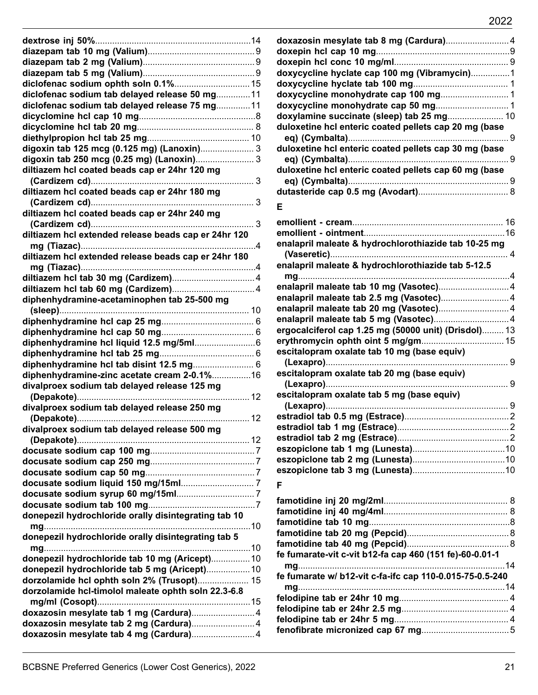| diclofenac sodium ophth soln 0.1% 15                                               |
|------------------------------------------------------------------------------------|
| diclofenac sodium tab delayed release 50 mg 11                                     |
| diclofenac sodium tab delayed release 75 mg 11                                     |
|                                                                                    |
|                                                                                    |
|                                                                                    |
|                                                                                    |
| digoxin tab 125 mcg (0.125 mg) (Lanoxin) 3                                         |
|                                                                                    |
| diltiazem hcl coated beads cap er 24hr 120 mg                                      |
|                                                                                    |
| diltiazem hcl coated beads cap er 24hr 180 mg                                      |
|                                                                                    |
| diltiazem hcl coated beads cap er 24hr 240 mg                                      |
|                                                                                    |
| diltiazem hcl extended release beads cap er 24hr 120                               |
|                                                                                    |
| diltiazem hcl extended release beads cap er 24hr 180                               |
|                                                                                    |
|                                                                                    |
|                                                                                    |
| diphenhydramine-acetaminophen tab 25-500 mg                                        |
|                                                                                    |
|                                                                                    |
|                                                                                    |
|                                                                                    |
|                                                                                    |
| diphenhydramine hcl tab disint 12.5 mg 6                                           |
| diphenhydramine-zinc acetate cream 2-0.1%16                                        |
| divalproex sodium tab delayed release 125 mg                                       |
|                                                                                    |
| divalproex sodium tab delayed release 250 mg                                       |
|                                                                                    |
| divalproex sodium tab delayed release 500 mg                                       |
|                                                                                    |
|                                                                                    |
|                                                                                    |
|                                                                                    |
|                                                                                    |
|                                                                                    |
|                                                                                    |
|                                                                                    |
|                                                                                    |
| donepezil hydrochloride orally disintegrating tab 10                               |
|                                                                                    |
| donepezil hydrochloride orally disintegrating tab 5                                |
|                                                                                    |
| donepezil hydrochloride tab 10 mg (Aricept) 10                                     |
| donepezil hydrochloride tab 5 mg (Aricept) 10                                      |
| dorzolamide hcl ophth soln 2% (Trusopt) 15                                         |
| dorzolamide hcl-timolol maleate ophth soln 22.3-6.8                                |
|                                                                                    |
| doxazosin mesylate tab 1 mg (Cardura) 4                                            |
| doxazosin mesylate tab 2 mg (Cardura) 4<br>doxazosin mesylate tab 4 mg (Cardura) 4 |

| doxazosin mesylate tab 8 mg (Cardura)4                |  |
|-------------------------------------------------------|--|
|                                                       |  |
|                                                       |  |
| doxycycline hyclate cap 100 mg (Vibramycin)1          |  |
|                                                       |  |
|                                                       |  |
|                                                       |  |
| doxylamine succinate (sleep) tab 25 mg 10             |  |
| duloxetine hcl enteric coated pellets cap 20 mg (base |  |
|                                                       |  |
| duloxetine hcl enteric coated pellets cap 30 mg (base |  |
|                                                       |  |
| duloxetine hcl enteric coated pellets cap 60 mg (base |  |
|                                                       |  |
|                                                       |  |
|                                                       |  |
| Е                                                     |  |
|                                                       |  |
|                                                       |  |
| enalapril maleate & hydrochlorothiazide tab 10-25 mg  |  |
|                                                       |  |
| enalapril maleate & hydrochlorothiazide tab 5-12.5    |  |
|                                                       |  |
|                                                       |  |
|                                                       |  |
|                                                       |  |
|                                                       |  |
| ergocalciferol cap 1.25 mg (50000 unit) (Drisdol) 13  |  |
|                                                       |  |
| escitalopram oxalate tab 10 mg (base equiv)           |  |
|                                                       |  |
| escitalopram oxalate tab 20 mg (base equiv)           |  |
|                                                       |  |
| escitalopram oxalate tab 5 mg (base equiv)            |  |
|                                                       |  |
|                                                       |  |
|                                                       |  |
|                                                       |  |
|                                                       |  |
|                                                       |  |
|                                                       |  |
|                                                       |  |

## **F**

| fe fumarate-vit c-vit b12-fa cap 460 (151 fe)-60-0.01-1  |  |
|----------------------------------------------------------|--|
|                                                          |  |
| fe fumarate w/ b12-vit c-fa-ifc cap 110-0.015-75-0.5-240 |  |
|                                                          |  |
|                                                          |  |
|                                                          |  |
|                                                          |  |
|                                                          |  |
|                                                          |  |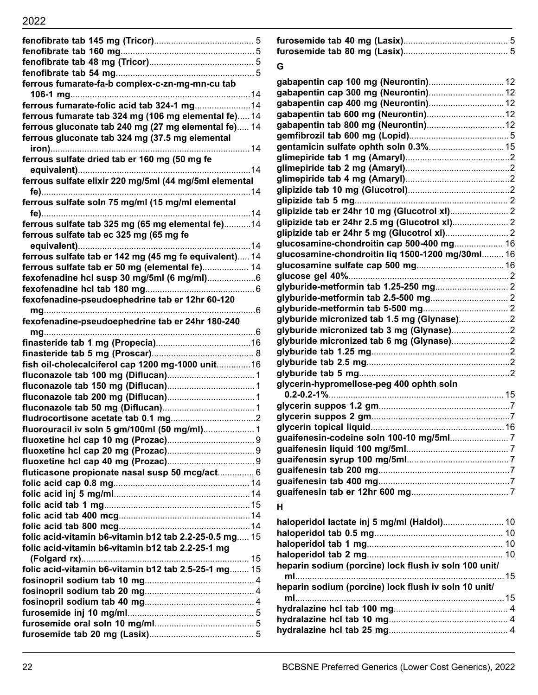# 2022

| ferrous fumarate-fa-b complex-c-zn-mg-mn-cu tab        |  |
|--------------------------------------------------------|--|
|                                                        |  |
|                                                        |  |
| ferrous fumarate tab 324 mg (106 mg elemental fe) 14   |  |
| ferrous gluconate tab 240 mg (27 mg elemental fe) 14   |  |
| ferrous gluconate tab 324 mg (37.5 mg elemental        |  |
|                                                        |  |
| ferrous sulfate dried tab er 160 mg (50 mg fe          |  |
|                                                        |  |
| ferrous sulfate elixir 220 mg/5ml (44 mg/5ml elemental |  |
|                                                        |  |
| ferrous sulfate soln 75 mg/ml (15 mg/ml elemental      |  |
|                                                        |  |
| ferrous sulfate tab 325 mg (65 mg elemental fe)14      |  |
| ferrous sulfate tab ec 325 mg (65 mg fe                |  |
|                                                        |  |
| ferrous sulfate tab er 142 mg (45 mg fe equivalent) 14 |  |
| ferrous sulfate tab er 50 mg (elemental fe) 14         |  |
|                                                        |  |
|                                                        |  |
| fexofenadine-pseudoephedrine tab er 12hr 60-120        |  |
|                                                        |  |
| fexofenadine-pseudoephedrine tab er 24hr 180-240       |  |
|                                                        |  |
|                                                        |  |
|                                                        |  |
| fish oil-cholecalciferol cap 1200 mg-1000 unit 16      |  |
|                                                        |  |
|                                                        |  |
|                                                        |  |
|                                                        |  |
|                                                        |  |
| fluorouracil iv soln 5 gm/100ml (50 mg/ml) 1           |  |
|                                                        |  |
|                                                        |  |
|                                                        |  |
| fluticasone propionate nasal susp 50 mcg/act 6         |  |
|                                                        |  |
|                                                        |  |
|                                                        |  |
|                                                        |  |
|                                                        |  |
| folic acid-vitamin b6-vitamin b12 tab 2.2-25-0.5 mg 15 |  |
| folic acid-vitamin b6-vitamin b12 tab 2.2-25-1 mg      |  |
|                                                        |  |
| folic acid-vitamin b6-vitamin b12 tab 2.5-25-1 mg 15   |  |
|                                                        |  |
|                                                        |  |
|                                                        |  |
|                                                        |  |
|                                                        |  |
|                                                        |  |

## **G**

| gabapentin cap 100 mg (Neurontin) 12<br>gabapentin cap 400 mg (Neurontin) 12<br>gentamicin sulfate ophth soln 0.3% 15<br>glucosamine-chondroitin cap 500-400 mg 16<br>glucosamine-chondroitin liq 1500-1200 mg/30ml 16<br>glyburide micronized tab 3 mg (Glynase)2<br>glyburide micronized tab 6 mg (Glynase)2<br>glycerin-hypromellose-peg 400 ophth soln<br>н<br>haloperidol lactate inj 5 mg/ml (Haldol) 10<br>heparin sodium (porcine) lock flush iv soln 100 unit/ |  |
|-------------------------------------------------------------------------------------------------------------------------------------------------------------------------------------------------------------------------------------------------------------------------------------------------------------------------------------------------------------------------------------------------------------------------------------------------------------------------|--|
|                                                                                                                                                                                                                                                                                                                                                                                                                                                                         |  |
|                                                                                                                                                                                                                                                                                                                                                                                                                                                                         |  |
|                                                                                                                                                                                                                                                                                                                                                                                                                                                                         |  |
|                                                                                                                                                                                                                                                                                                                                                                                                                                                                         |  |
|                                                                                                                                                                                                                                                                                                                                                                                                                                                                         |  |
|                                                                                                                                                                                                                                                                                                                                                                                                                                                                         |  |
|                                                                                                                                                                                                                                                                                                                                                                                                                                                                         |  |
|                                                                                                                                                                                                                                                                                                                                                                                                                                                                         |  |
|                                                                                                                                                                                                                                                                                                                                                                                                                                                                         |  |
|                                                                                                                                                                                                                                                                                                                                                                                                                                                                         |  |
|                                                                                                                                                                                                                                                                                                                                                                                                                                                                         |  |
|                                                                                                                                                                                                                                                                                                                                                                                                                                                                         |  |
|                                                                                                                                                                                                                                                                                                                                                                                                                                                                         |  |
|                                                                                                                                                                                                                                                                                                                                                                                                                                                                         |  |
|                                                                                                                                                                                                                                                                                                                                                                                                                                                                         |  |
|                                                                                                                                                                                                                                                                                                                                                                                                                                                                         |  |
|                                                                                                                                                                                                                                                                                                                                                                                                                                                                         |  |
|                                                                                                                                                                                                                                                                                                                                                                                                                                                                         |  |
|                                                                                                                                                                                                                                                                                                                                                                                                                                                                         |  |
|                                                                                                                                                                                                                                                                                                                                                                                                                                                                         |  |
|                                                                                                                                                                                                                                                                                                                                                                                                                                                                         |  |
|                                                                                                                                                                                                                                                                                                                                                                                                                                                                         |  |
|                                                                                                                                                                                                                                                                                                                                                                                                                                                                         |  |
|                                                                                                                                                                                                                                                                                                                                                                                                                                                                         |  |
|                                                                                                                                                                                                                                                                                                                                                                                                                                                                         |  |
|                                                                                                                                                                                                                                                                                                                                                                                                                                                                         |  |
|                                                                                                                                                                                                                                                                                                                                                                                                                                                                         |  |
|                                                                                                                                                                                                                                                                                                                                                                                                                                                                         |  |
|                                                                                                                                                                                                                                                                                                                                                                                                                                                                         |  |
|                                                                                                                                                                                                                                                                                                                                                                                                                                                                         |  |
|                                                                                                                                                                                                                                                                                                                                                                                                                                                                         |  |
|                                                                                                                                                                                                                                                                                                                                                                                                                                                                         |  |
|                                                                                                                                                                                                                                                                                                                                                                                                                                                                         |  |
|                                                                                                                                                                                                                                                                                                                                                                                                                                                                         |  |
|                                                                                                                                                                                                                                                                                                                                                                                                                                                                         |  |
|                                                                                                                                                                                                                                                                                                                                                                                                                                                                         |  |
|                                                                                                                                                                                                                                                                                                                                                                                                                                                                         |  |
|                                                                                                                                                                                                                                                                                                                                                                                                                                                                         |  |
|                                                                                                                                                                                                                                                                                                                                                                                                                                                                         |  |
|                                                                                                                                                                                                                                                                                                                                                                                                                                                                         |  |
|                                                                                                                                                                                                                                                                                                                                                                                                                                                                         |  |
|                                                                                                                                                                                                                                                                                                                                                                                                                                                                         |  |
|                                                                                                                                                                                                                                                                                                                                                                                                                                                                         |  |
|                                                                                                                                                                                                                                                                                                                                                                                                                                                                         |  |
|                                                                                                                                                                                                                                                                                                                                                                                                                                                                         |  |
| heparin sodium (porcine) lock flush iv soln 10 unit/                                                                                                                                                                                                                                                                                                                                                                                                                    |  |
|                                                                                                                                                                                                                                                                                                                                                                                                                                                                         |  |
|                                                                                                                                                                                                                                                                                                                                                                                                                                                                         |  |
|                                                                                                                                                                                                                                                                                                                                                                                                                                                                         |  |

**hydralazine hcl tab 25 mg**................................................. 4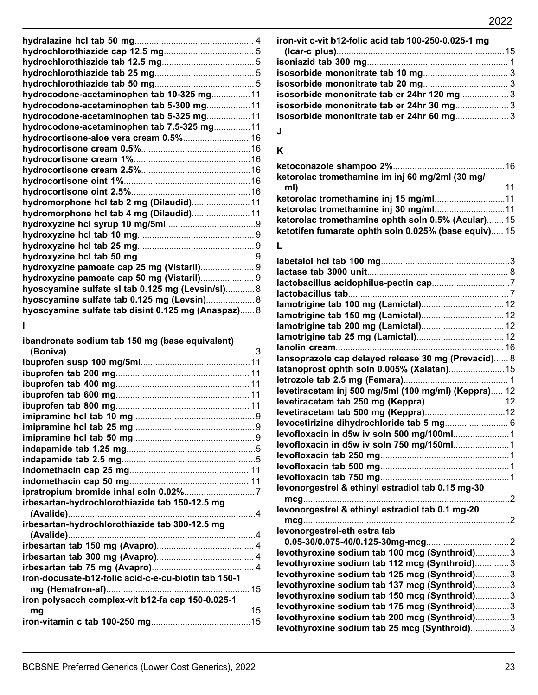| hydrocodone-acetaminophen tab 10-325 mg11           |  |
|-----------------------------------------------------|--|
| hydrocodone-acetaminophen tab 5-300 mg11            |  |
| hydrocodone-acetaminophen tab 5-325 mg11            |  |
| hydrocodone-acetaminophen tab 7.5-325 mg11          |  |
| hydrocortisone-aloe vera cream 0.5% 16              |  |
|                                                     |  |
|                                                     |  |
|                                                     |  |
|                                                     |  |
|                                                     |  |
| hydromorphone hcl tab 2 mg (Dilaudid) 11            |  |
| hydromorphone hcl tab 4 mg (Dilaudid) 11            |  |
|                                                     |  |
|                                                     |  |
|                                                     |  |
|                                                     |  |
| hydroxyzine pamoate cap 25 mg (Vistaril) 9          |  |
| hydroxyzine pamoate cap 50 mg (Vistaril) 9          |  |
| hyoscyamine sulfate sl tab 0.125 mg (Levsin/sl) 8   |  |
| hyoscyamine sulfate tab 0.125 mg (Levsin) 8         |  |
| hyoscyamine sulfate tab disint 0.125 mg (Anaspaz) 8 |  |

## **I**

**ibandronate sodium tab 150 mg (base equivalent)**

| irbesartan-hydrochlorothiazide tab 150-12.5 mg       |  |
|------------------------------------------------------|--|
|                                                      |  |
| irbesartan-hydrochlorothiazide tab 300-12.5 mg       |  |
|                                                      |  |
|                                                      |  |
|                                                      |  |
|                                                      |  |
| iron-docusate-b12-folic acid-c-e-cu-biotin tab 150-1 |  |
|                                                      |  |
| iron polysacch complex-vit b12-fa cap 150-0.025-1    |  |
|                                                      |  |
|                                                      |  |

| iron-vit c-vit b12-folic acid tab 100-250-0.025-1 mg |  |
|------------------------------------------------------|--|
|                                                      |  |
|                                                      |  |
|                                                      |  |
|                                                      |  |
| isosorbide mononitrate tab er 24hr 120 mg 3          |  |
| isosorbide mononitrate tab er 24hr 30 mg3            |  |
| isosorbide mononitrate tab er 24hr 60 mg 3           |  |
|                                                      |  |

## **J**

## **K**

| ketorolac tromethamine im inj 60 mg/2ml (30 mg/      |  |
|------------------------------------------------------|--|
|                                                      |  |
| ketorolac tromethamine inj 15 mg/ml11                |  |
|                                                      |  |
| ketorolac tromethamine ophth soln 0.5% (Acular) 15   |  |
| ketotifen fumarate ophth soln 0.025% (base equiv) 15 |  |
|                                                      |  |

# **L**

| lansoprazole cap delayed release 30 mg (Prevacid) 8  |  |
|------------------------------------------------------|--|
| latanoprost ophth soln 0.005% (Xalatan)15            |  |
|                                                      |  |
| levetiracetam inj 500 mg/5ml (100 mg/ml) (Keppra) 12 |  |
|                                                      |  |
|                                                      |  |
| levocetirizine dihydrochloride tab 5 mg 6            |  |
|                                                      |  |
|                                                      |  |
|                                                      |  |
|                                                      |  |
|                                                      |  |
| levonorgestrel & ethinyl estradiol tab 0.15 mg-30    |  |
|                                                      |  |
| levonorgestrel & ethinyl estradiol tab 0.1 mg-20     |  |
|                                                      |  |
| levonorgestrel-eth estra tab                         |  |
|                                                      |  |
| levothyroxine sodium tab 100 mcg (Synthroid)3        |  |
| levothyroxine sodium tab 112 mcg (Synthroid) 3       |  |
| levothyroxine sodium tab 125 mcg (Synthroid)3        |  |
| levothyroxine sodium tab 137 mcg (Synthroid)3        |  |
| levothyroxine sodium tab 150 mcg (Synthroid)3        |  |
| levothyroxine sodium tab 175 mcg (Synthroid)3        |  |
| levothyroxine sodium tab 200 mcg (Synthroid)3        |  |
| levothyroxine sodium tab 25 mcg (Synthroid)3         |  |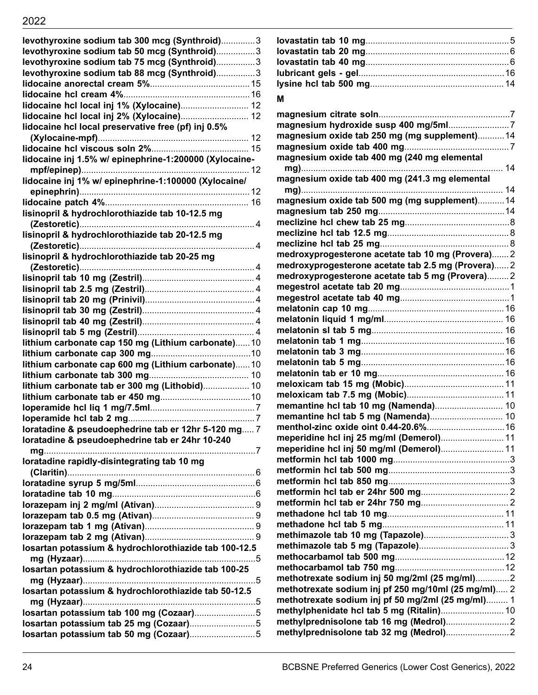| levothyroxine sodium tab 300 mcg (Synthroid)3          |  |
|--------------------------------------------------------|--|
| levothyroxine sodium tab 50 mcg (Synthroid)3           |  |
| levothyroxine sodium tab 75 mcg (Synthroid)3           |  |
| levothyroxine sodium tab 88 mcg (Synthroid)3           |  |
|                                                        |  |
|                                                        |  |
|                                                        |  |
|                                                        |  |
| lidocaine hcl local preservative free (pf) inj 0.5%    |  |
|                                                        |  |
|                                                        |  |
| lidocaine inj 1.5% w/ epinephrine-1:200000 (Xylocaine- |  |
|                                                        |  |
| lidocaine inj 1% w/ epinephrine-1:100000 (Xylocaine/   |  |
|                                                        |  |
|                                                        |  |
| lisinopril & hydrochlorothiazide tab 10-12.5 mg        |  |
|                                                        |  |
| lisinopril & hydrochlorothiazide tab 20-12.5 mg        |  |
|                                                        |  |
| lisinopril & hydrochlorothiazide tab 20-25 mg          |  |
|                                                        |  |
|                                                        |  |
|                                                        |  |
|                                                        |  |
|                                                        |  |
|                                                        |  |
|                                                        |  |
| lithium carbonate cap 150 mg (Lithium carbonate)10     |  |
|                                                        |  |
| lithium carbonate cap 600 mg (Lithium carbonate)10     |  |
|                                                        |  |
| lithium carbonate tab er 300 mg (Lithobid) 10          |  |
|                                                        |  |
|                                                        |  |
|                                                        |  |
| loratadine & pseudoephedrine tab er 12hr 5-120 mg 7    |  |
| loratadine & pseudoephedrine tab er 24hr 10-240        |  |
|                                                        |  |
| loratadine rapidly-disintegrating tab 10 mg            |  |
|                                                        |  |
|                                                        |  |
|                                                        |  |
|                                                        |  |
|                                                        |  |
|                                                        |  |
|                                                        |  |
| losartan potassium & hydrochlorothiazide tab 100-12.5  |  |
| losartan potassium & hydrochlorothiazide tab 100-25    |  |
|                                                        |  |
| losartan potassium & hydrochlorothiazide tab 50-12.5   |  |
|                                                        |  |
|                                                        |  |
|                                                        |  |
|                                                        |  |
|                                                        |  |

| М                                                   |
|-----------------------------------------------------|
|                                                     |
|                                                     |
|                                                     |
| magnesium oxide tab 250 mg (mg supplement) 14       |
|                                                     |
| magnesium oxide tab 400 mg (240 mg elemental        |
|                                                     |
| magnesium oxide tab 400 mg (241.3 mg elemental      |
|                                                     |
| magnesium oxide tab 500 mg (mg supplement) 14       |
|                                                     |
|                                                     |
|                                                     |
|                                                     |
| medroxyprogesterone acetate tab 10 mg (Provera)2    |
| medroxyprogesterone acetate tab 2.5 mg (Provera) 2  |
| medroxyprogesterone acetate tab 5 mg (Provera)2     |
|                                                     |
|                                                     |
|                                                     |
|                                                     |
|                                                     |
|                                                     |
|                                                     |
|                                                     |
|                                                     |
|                                                     |
|                                                     |
|                                                     |
|                                                     |
|                                                     |
| meperidine hcl inj 25 mg/ml (Demerol) 11            |
| meperidine hcl inj 50 mg/ml (Demerol) 11            |
|                                                     |
|                                                     |
|                                                     |
|                                                     |
|                                                     |
|                                                     |
|                                                     |
|                                                     |
|                                                     |
|                                                     |
| methotrexate sodium inj 50 mg/2ml (25 mg/ml)2       |
| methotrexate sodium inj pf 250 mg/10ml (25 mg/ml) 2 |
| methotrexate sodium inj pf 50 mg/2ml (25 mg/ml) 1   |
| methylphenidate hcl tab 5 mg (Ritalin) 10           |
|                                                     |
|                                                     |
|                                                     |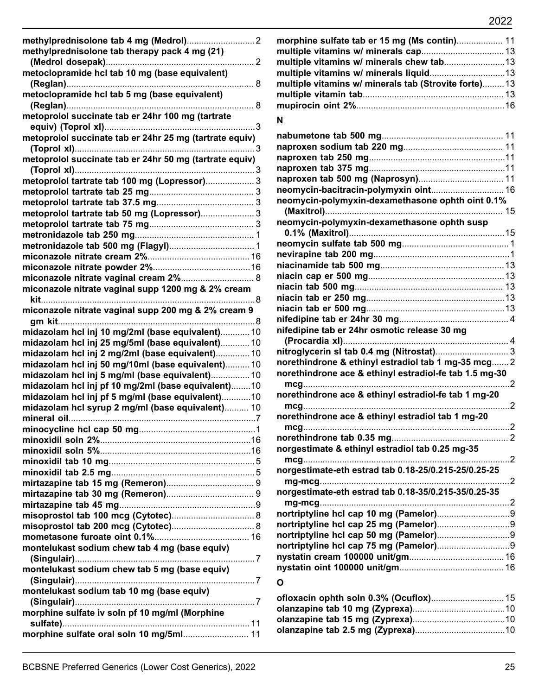| methylprednisolone tab therapy pack 4 mg (21)           |
|---------------------------------------------------------|
|                                                         |
| metoclopramide hcl tab 10 mg (base equivalent)          |
|                                                         |
| metoclopramide hcl tab 5 mg (base equivalent)           |
| . 8                                                     |
| metoprolol succinate tab er 24hr 100 mg (tartrate       |
| . 3                                                     |
| metoprolol succinate tab er 24hr 25 mg (tartrate equiv) |
|                                                         |
| metoprolol succinate tab er 24hr 50 mg (tartrate equiv) |
|                                                         |
| metoprolol tartrate tab 100 mg (Lopressor) 3            |
|                                                         |
|                                                         |
| metoprolol tartrate tab 50 mg (Lopressor) 3             |
|                                                         |
|                                                         |
|                                                         |
|                                                         |
|                                                         |
|                                                         |
| miconazole nitrate vaginal cream 2% 8                   |
| miconazole nitrate vaginal supp 1200 mg & 2% cream      |
|                                                         |
| miconazole nitrate vaginal supp 200 mg & 2% cream 9     |
|                                                         |
| midazolam hcl inj 10 mg/2ml (base equivalent) 10        |
| midazolam hcl inj 25 mg/5ml (base equivalent) 10        |
| midazolam hcl inj 2 mg/2ml (base equivalent) 10         |
| midazolam hcl inj 50 mg/10ml (base equivalent) 10       |
| midazolam hcl inj 5 mg/ml (base equivalent) 10          |
| midazolam hcl inj pf 10 mg/2ml (base equivalent)10      |
| midazolam hcl inj pf 5 mg/ml (base equivalent)10        |
| midazolam hcl syrup 2 mg/ml (base equivalent) 10        |
|                                                         |
| $\overline{\phantom{0}}$ 1                              |
|                                                         |
|                                                         |
|                                                         |
|                                                         |
|                                                         |
|                                                         |
|                                                         |
|                                                         |
|                                                         |
|                                                         |
| montelukast sodium chew tab 4 mg (base equiv)           |
|                                                         |
| montelukast sodium chew tab 5 mg (base equiv)           |
|                                                         |
| montelukast sodium tab 10 mg (base equiv)               |
|                                                         |
| morphine sulfate iv soln pf 10 mg/ml (Morphine          |
|                                                         |
| morphine sulfate oral soln 10 mg/5ml 11                 |

| morphine sulfate tab er 15 mg (Ms contin) 11          |  |
|-------------------------------------------------------|--|
|                                                       |  |
| multiple vitamins w/ minerals chew tab13              |  |
|                                                       |  |
| multiple vitamins w/ minerals tab (Strovite forte) 13 |  |
|                                                       |  |
|                                                       |  |
|                                                       |  |

## **N**

| neomycin-polymyxin-dexamethasone ophth oint 0.1%       |     |
|--------------------------------------------------------|-----|
|                                                        |     |
| neomycin-polymyxin-dexamethasone ophth susp            |     |
|                                                        |     |
|                                                        |     |
|                                                        |     |
|                                                        |     |
|                                                        |     |
|                                                        |     |
|                                                        |     |
|                                                        |     |
|                                                        |     |
| nifedipine tab er 24hr osmotic release 30 mg           |     |
|                                                        |     |
|                                                        |     |
| norethindrone & ethinyl estradiol tab 1 mg-35 mcg 2    |     |
| norethindrone ace & ethinyl estradiol-fe tab 1.5 mg-30 |     |
|                                                        |     |
| norethindrone ace & ethinyl estradiol-fe tab 1 mg-20   |     |
|                                                        |     |
| norethindrone ace & ethinyl estradiol tab 1 mg-20      |     |
|                                                        |     |
|                                                        |     |
| norgestimate & ethinyl estradiol tab 0.25 mg-35        | . 2 |
| norgestimate-eth estrad tab 0.18-25/0.215-25/0.25-25   |     |
|                                                        | . 2 |
|                                                        |     |
|                                                        |     |
|                                                        |     |
|                                                        |     |
|                                                        |     |
|                                                        |     |
|                                                        |     |
|                                                        |     |
|                                                        |     |
| O                                                      |     |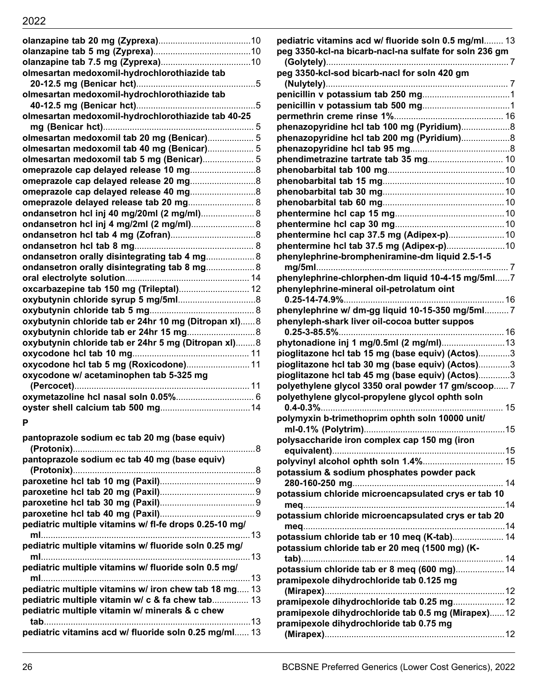| olmesartan medoxomil-hydrochlorothiazide tab         |  |
|------------------------------------------------------|--|
|                                                      |  |
| olmesartan medoxomil-hydrochlorothiazide tab         |  |
|                                                      |  |
| olmesartan medoxomil-hydrochlorothiazide tab 40-25   |  |
|                                                      |  |
| olmesartan medoxomil tab 20 mg (Benicar) 5           |  |
| olmesartan medoxomil tab 40 mg (Benicar) 5           |  |
| olmesartan medoxomil tab 5 mg (Benicar) 5            |  |
|                                                      |  |
|                                                      |  |
|                                                      |  |
| omeprazole delayed release tab 20 mg 8               |  |
| ondansetron hcl inj 40 mg/20ml (2 mg/ml) 8           |  |
| ondansetron hcl inj 4 mg/2ml (2 mg/ml) 8             |  |
|                                                      |  |
|                                                      |  |
| ondansetron orally disintegrating tab 4 mg 8         |  |
| ondansetron orally disintegrating tab 8 mg 8         |  |
|                                                      |  |
| oxcarbazepine tab 150 mg (Trileptal) 12              |  |
|                                                      |  |
|                                                      |  |
| oxybutynin chloride tab er 24hr 10 mg (Ditropan xl)8 |  |
|                                                      |  |
| oxybutynin chloride tab er 24hr 5 mg (Ditropan xI)8  |  |
|                                                      |  |
| oxycodone hcl tab 5 mg (Roxicodone) 11               |  |
| oxycodone w/ acetaminophen tab 5-325 mg              |  |
|                                                      |  |
|                                                      |  |
|                                                      |  |
|                                                      |  |

## **P**

| pantoprazole sodium ec tab 20 mg (base equiv)                                                             |  |
|-----------------------------------------------------------------------------------------------------------|--|
| pantoprazole sodium ec tab 40 mg (base equiv)                                                             |  |
|                                                                                                           |  |
|                                                                                                           |  |
|                                                                                                           |  |
| pediatric multiple vitamins w/ fl-fe drops 0.25-10 mg/                                                    |  |
| pediatric multiple vitamins w/ fluoride soln 0.25 mg/                                                     |  |
| pediatric multiple vitamins w/ fluoride soln 0.5 mg/                                                      |  |
| pediatric multiple vitamins w/ iron chew tab 18 mg 13<br>pediatric multiple vitamin w/ c & fa chew tab 13 |  |
| pediatric multiple vitamin w/ minerals & c chew                                                           |  |
| pediatric vitamins acd w/ fluoride soln 0.25 mg/ml 13                                                     |  |

| pediatric vitamins acd w/ fluoride soln 0.5 mg/ml 13                 |  |
|----------------------------------------------------------------------|--|
| peg 3350-kcl-na bicarb-nacl-na sulfate for soln 236 gm               |  |
| peg 3350-kcl-sod bicarb-nacl for soln 420 gm                         |  |
|                                                                      |  |
|                                                                      |  |
|                                                                      |  |
|                                                                      |  |
|                                                                      |  |
| phenazopyridine hcl tab 200 mg (Pyridium)                            |  |
|                                                                      |  |
| phendimetrazine tartrate tab 35 mg 10                                |  |
|                                                                      |  |
|                                                                      |  |
|                                                                      |  |
|                                                                      |  |
|                                                                      |  |
|                                                                      |  |
|                                                                      |  |
|                                                                      |  |
| phenylephrine-brompheniramine-dm liquid 2.5-1-5                      |  |
|                                                                      |  |
| phenylephrine-chlorphen-dm liquid 10-4-15 mg/5ml7                    |  |
| phenylephrine-mineral oil-petrolatum oint                            |  |
| phenylephrine w/ dm-gg liquid 10-15-350 mg/5ml 7                     |  |
| phenyleph-shark liver oil-cocoa butter suppos<br>$0.25 - 3 - 85.5\%$ |  |
|                                                                      |  |
| pioglitazone hcl tab 15 mg (base equiv) (Actos)3                     |  |
| pioglitazone hcl tab 30 mg (base equiv) (Actos)3                     |  |
| pioglitazone hcl tab 45 mg (base equiv) (Actos)3                     |  |
| polyethylene glycol 3350 oral powder 17 gm/scoop 7                   |  |
| polyethylene glycol-propylene glycol ophth soln                      |  |
|                                                                      |  |
| polymyxin b-trimethoprim ophth soln 10000 unit/                      |  |
| polysaccharide iron complex cap 150 mg (iron                         |  |
|                                                                      |  |
|                                                                      |  |
| potassium & sodium phosphates powder pack                            |  |
|                                                                      |  |
| potassium chloride microencapsulated crys er tab 10                  |  |
| potassium chloride microencapsulated crys er tab 20                  |  |
|                                                                      |  |
| potassium chloride tab er 10 meg (K-tab) 14                          |  |
| potassium chloride tab er 20 meg (1500 mg) (K-                       |  |
|                                                                      |  |
| potassium chloride tab er 8 meq (600 mg) 14                          |  |
| pramipexole dihydrochloride tab 0.125 mg                             |  |
|                                                                      |  |
| pramipexole dihydrochloride tab 0.25 mg 12                           |  |
| pramipexole dihydrochloride tab 0.5 mg (Mirapex)12                   |  |
| pramipexole dihydrochloride tab 0.75 mg                              |  |
|                                                                      |  |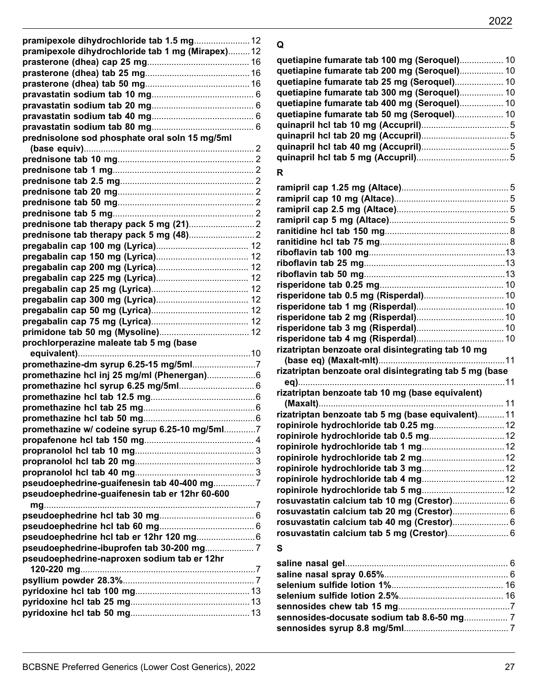| pramipexole dihydrochloride tab 1.5 mg 12         |
|---------------------------------------------------|
| pramipexole dihydrochloride tab 1 mg (Mirapex) 12 |
|                                                   |
|                                                   |
|                                                   |
|                                                   |
|                                                   |
|                                                   |
|                                                   |
| prednisolone sod phosphate oral soln 15 mg/5ml    |
|                                                   |
|                                                   |
|                                                   |
|                                                   |
|                                                   |
|                                                   |
|                                                   |
|                                                   |
|                                                   |
|                                                   |
|                                                   |
|                                                   |
|                                                   |
|                                                   |
|                                                   |
|                                                   |
|                                                   |
|                                                   |
| prochlorperazine maleate tab 5 mg (base           |
|                                                   |
|                                                   |
|                                                   |
|                                                   |
|                                                   |
|                                                   |
|                                                   |
| promethazine w/ codeine syrup 6.25-10 mg/5ml7     |
|                                                   |
|                                                   |
|                                                   |
|                                                   |
| pseudoephedrine-guaifenesin tab 40-400 mg7        |
| pseudoephedrine-guaifenesin tab er 12hr 60-600    |
|                                                   |
|                                                   |
|                                                   |
| pseudoephedrine-ibuprofen tab 30-200 mg 7         |
| pseudoephedrine-naproxen sodium tab er 12hr       |
|                                                   |
|                                                   |
|                                                   |
|                                                   |
|                                                   |
|                                                   |

# **Q**

| quetiapine fumarate tab 100 mg (Seroquel) 10 |  |
|----------------------------------------------|--|
|                                              |  |
| quetiapine fumarate tab 200 mg (Seroquel) 10 |  |
| quetiapine fumarate tab 25 mg (Seroquel) 10  |  |
| quetiapine fumarate tab 300 mg (Seroquel) 10 |  |
| quetiapine fumarate tab 400 mg (Seroquel) 10 |  |
|                                              |  |
|                                              |  |
|                                              |  |
|                                              |  |
|                                              |  |
|                                              |  |

# **R**

| rizatriptan benzoate oral disintegrating tab 10 mg      |  |
|---------------------------------------------------------|--|
|                                                         |  |
| rizatriptan benzoate oral disintegrating tab 5 mg (base |  |
|                                                         |  |
| rizatriptan benzoate tab 10 mg (base equivalent)        |  |
|                                                         |  |
| rizatriptan benzoate tab 5 mg (base equivalent)11       |  |
|                                                         |  |
|                                                         |  |
|                                                         |  |
|                                                         |  |
|                                                         |  |
|                                                         |  |
|                                                         |  |
| rosuvastatin calcium tab 10 mg (Crestor) 6              |  |
| rosuvastatin calcium tab 20 mg (Crestor) 6              |  |
| rosuvastatin calcium tab 40 mg (Crestor) 6              |  |
|                                                         |  |
|                                                         |  |

## **S**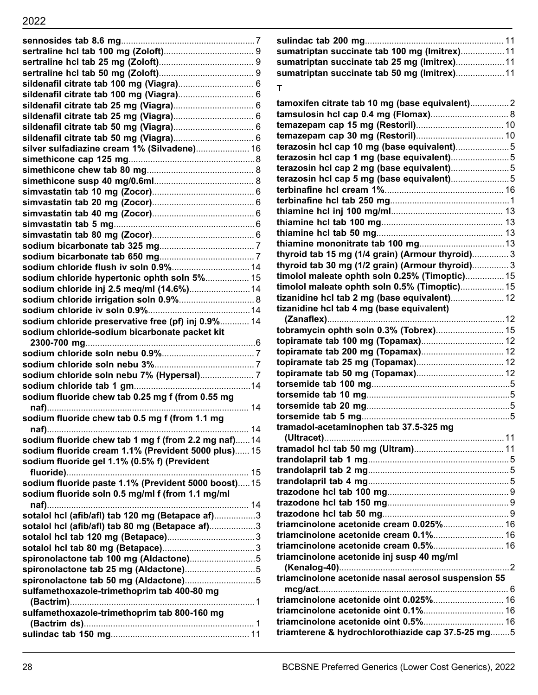| sildenafil citrate tab 100 mg (Viagra) 6             |    |
|------------------------------------------------------|----|
|                                                      |    |
|                                                      |    |
|                                                      |    |
|                                                      |    |
|                                                      |    |
| silver sulfadiazine cream 1% (Silvadene) 16          |    |
|                                                      |    |
|                                                      |    |
|                                                      |    |
|                                                      |    |
|                                                      |    |
|                                                      |    |
|                                                      |    |
|                                                      |    |
|                                                      |    |
|                                                      |    |
|                                                      |    |
| sodium chloride hypertonic ophth soln 5% 15          |    |
| sodium chloride inj 2.5 meq/ml (14.6%) 14            |    |
| sodium chloride irrigation soln 0.9% 8               |    |
|                                                      |    |
| sodium chloride preservative free (pf) inj 0.9% 14   |    |
| sodium chloride-sodium bicarbonate packet kit        |    |
|                                                      |    |
|                                                      |    |
|                                                      |    |
|                                                      |    |
| sodium fluoride chew tab 0.25 mg f (from 0.55 mg     |    |
|                                                      |    |
| sodium fluoride chew tab 0.5 mg f (from 1.1 mg       |    |
|                                                      | 14 |
| sodium fluoride chew tab 1 mg f (from 2.2 mg naf)14  |    |
| sodium fluoride cream 1.1% (Prevident 5000 plus) 15  |    |
| sodium fluoride gel 1.1% (0.5% f) (Prevident         |    |
|                                                      |    |
| sodium fluoride paste 1.1% (Prevident 5000 boost) 15 |    |
| sodium fluoride soln 0.5 mg/ml f (from 1.1 mg/ml     |    |
|                                                      |    |
| sotalol hcl (afib/afl) tab 120 mg (Betapace af)3     |    |
| sotalol hcl (afib/afl) tab 80 mg (Betapace af)3      |    |
|                                                      |    |
|                                                      |    |
|                                                      |    |
| spironolactone tab 100 mg (Aldactone)5               |    |
|                                                      |    |
|                                                      |    |
| sulfamethoxazole-trimethoprim tab 400-80 mg          |    |
|                                                      |    |
| sulfamethoxazole-trimethoprim tab 800-160 mg         |    |
|                                                      |    |

## **T**

| tamoxifen citrate tab 10 mg (base equivalent)2      |  |
|-----------------------------------------------------|--|
|                                                     |  |
|                                                     |  |
|                                                     |  |
| terazosin hcl cap 10 mg (base equivalent)5          |  |
|                                                     |  |
|                                                     |  |
| terazosin hcl cap 5 mg (base equivalent)5           |  |
|                                                     |  |
|                                                     |  |
|                                                     |  |
|                                                     |  |
|                                                     |  |
|                                                     |  |
| thyroid tab 15 mg (1/4 grain) (Armour thyroid) 3    |  |
| thyroid tab 30 mg (1/2 grain) (Armour thyroid) 3    |  |
| timolol maleate ophth soln 0.25% (Timoptic) 15      |  |
| timolol maleate ophth soln 0.5% (Timoptic) 15       |  |
| tizanidine hcl tab 2 mg (base equivalent) 12        |  |
| tizanidine hcl tab 4 mg (base equivalent)           |  |
|                                                     |  |
|                                                     |  |
|                                                     |  |
|                                                     |  |
|                                                     |  |
|                                                     |  |
|                                                     |  |
|                                                     |  |
|                                                     |  |
|                                                     |  |
| tramadol-acetaminophen tab 37.5-325 mg              |  |
|                                                     |  |
|                                                     |  |
|                                                     |  |
|                                                     |  |
|                                                     |  |
|                                                     |  |
|                                                     |  |
|                                                     |  |
| triamcinolone acetonide cream 0.025% 16             |  |
| triamcinolone acetonide cream 0.1% 16               |  |
| triamcinolone acetonide cream 0.5% 16               |  |
| triamcinolone acetonide inj susp 40 mg/ml           |  |
|                                                     |  |
| triamcinolone acetonide nasal aerosol suspension 55 |  |
|                                                     |  |
| triamcinolone acetonide oint 0.025% 16              |  |
|                                                     |  |
|                                                     |  |
| triamterene & hydrochlorothiazide cap 37.5-25 mg5   |  |
|                                                     |  |